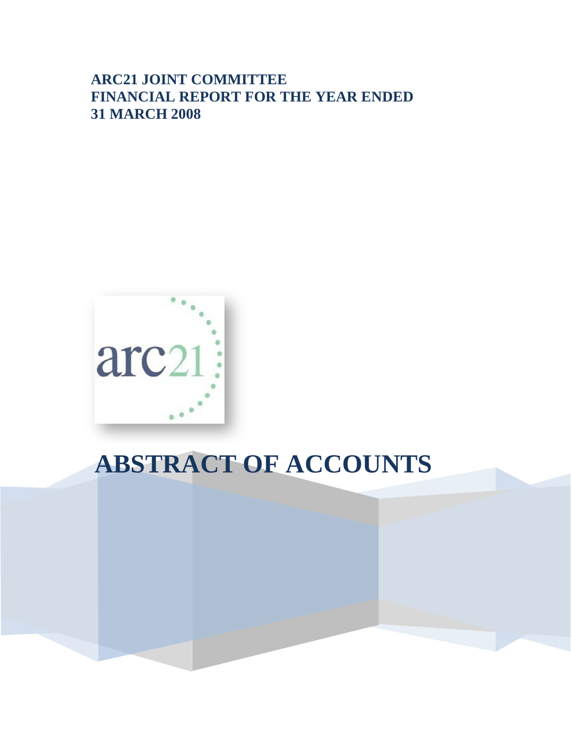## **ARC21 JOINT COMMITTEE FINANCIAL REPORT FOR THE YEAR ENDED 31 MARCH 2008**



# **ABSTRACT OF ACCOUNTS**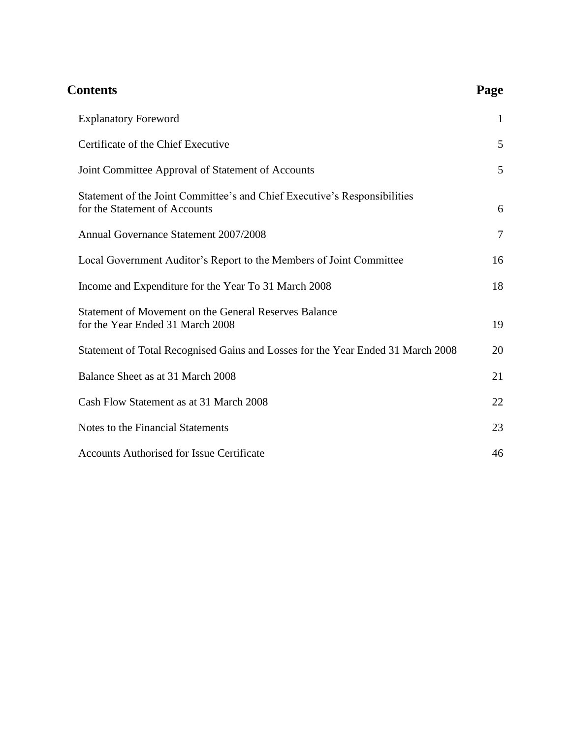| <b>Contents</b>                                                                                            | Page |
|------------------------------------------------------------------------------------------------------------|------|
| <b>Explanatory Foreword</b>                                                                                | 1    |
| Certificate of the Chief Executive                                                                         | 5    |
| Joint Committee Approval of Statement of Accounts                                                          | 5    |
| Statement of the Joint Committee's and Chief Executive's Responsibilities<br>for the Statement of Accounts | 6    |
| Annual Governance Statement 2007/2008                                                                      | 7    |
| Local Government Auditor's Report to the Members of Joint Committee                                        | 16   |
| Income and Expenditure for the Year To 31 March 2008                                                       | 18   |
| Statement of Movement on the General Reserves Balance<br>for the Year Ended 31 March 2008                  | 19   |
| Statement of Total Recognised Gains and Losses for the Year Ended 31 March 2008                            | 20   |
| Balance Sheet as at 31 March 2008                                                                          | 21   |
| Cash Flow Statement as at 31 March 2008                                                                    | 22   |
| Notes to the Financial Statements                                                                          | 23   |
| <b>Accounts Authorised for Issue Certificate</b>                                                           | 46   |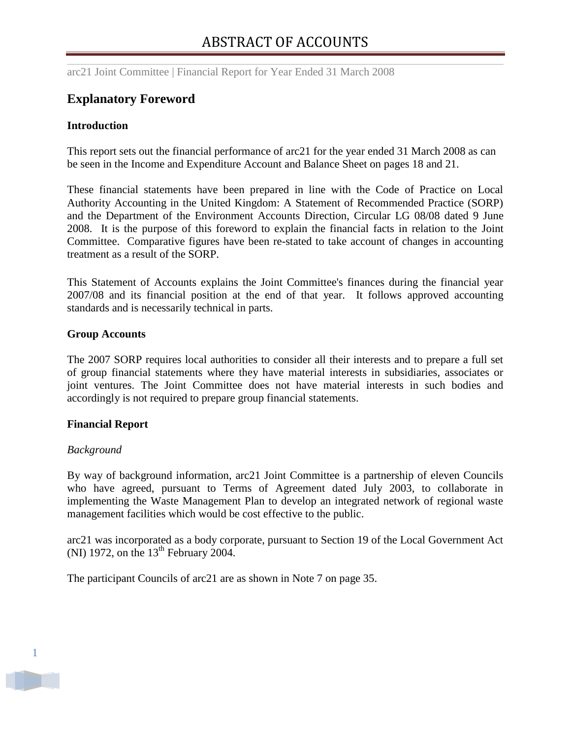## <span id="page-2-0"></span>**Explanatory Foreword**

#### **Introduction**

This report sets out the financial performance of arc21 for the year ended 31 March 2008 as can be seen in the Income and Expenditure Account and Balance Sheet on pages 18 and 21.

These financial statements have been prepared in line with the Code of Practice on Local Authority Accounting in the United Kingdom: A Statement of Recommended Practice (SORP) and the Department of the Environment Accounts Direction, Circular LG 08/08 dated 9 June 2008. It is the purpose of this foreword to explain the financial facts in relation to the Joint Committee. Comparative figures have been re-stated to take account of changes in accounting treatment as a result of the SORP.

This Statement of Accounts explains the Joint Committee's finances during the financial year 2007/08 and its financial position at the end of that year. It follows approved accounting standards and is necessarily technical in parts.

#### **Group Accounts**

The 2007 SORP requires local authorities to consider all their interests and to prepare a full set of group financial statements where they have material interests in subsidiaries, associates or joint ventures. The Joint Committee does not have material interests in such bodies and accordingly is not required to prepare group financial statements.

#### **Financial Report**

#### *Background*

By way of background information, arc21 Joint Committee is a partnership of eleven Councils who have agreed, pursuant to Terms of Agreement dated July 2003, to collaborate in implementing the Waste Management Plan to develop an integrated network of regional waste management facilities which would be cost effective to the public.

arc21 was incorporated as a body corporate, pursuant to Section 19 of the Local Government Act (NI) 1972, on the  $13<sup>th</sup>$  February 2004.

The participant Councils of arc21 are as shown in Note 7 on page 35.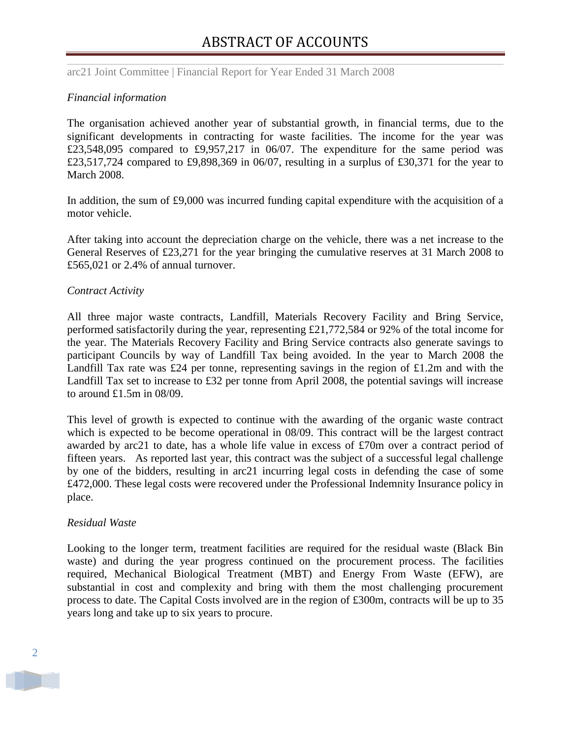#### *Financial information*

The organisation achieved another year of substantial growth, in financial terms, due to the significant developments in contracting for waste facilities. The income for the year was £23,548,095 compared to £9,957,217 in 06/07. The expenditure for the same period was £23,517,724 compared to £9,898,369 in 06/07, resulting in a surplus of £30,371 for the year to March 2008.

In addition, the sum of £9,000 was incurred funding capital expenditure with the acquisition of a motor vehicle.

After taking into account the depreciation charge on the vehicle, there was a net increase to the General Reserves of £23,271 for the year bringing the cumulative reserves at 31 March 2008 to £565,021 or 2.4% of annual turnover.

#### *Contract Activity*

All three major waste contracts, Landfill, Materials Recovery Facility and Bring Service, performed satisfactorily during the year, representing £21,772,584 or 92% of the total income for the year. The Materials Recovery Facility and Bring Service contracts also generate savings to participant Councils by way of Landfill Tax being avoided. In the year to March 2008 the Landfill Tax rate was £24 per tonne, representing savings in the region of £1.2m and with the Landfill Tax set to increase to £32 per tonne from April 2008, the potential savings will increase to around £1.5m in 08/09.

This level of growth is expected to continue with the awarding of the organic waste contract which is expected to be become operational in 08/09. This contract will be the largest contract awarded by arc21 to date, has a whole life value in excess of £70m over a contract period of fifteen years. As reported last year, this contract was the subject of a successful legal challenge by one of the bidders, resulting in arc21 incurring legal costs in defending the case of some £472,000. These legal costs were recovered under the Professional Indemnity Insurance policy in place.

#### *Residual Waste*

Looking to the longer term, treatment facilities are required for the residual waste (Black Bin waste) and during the year progress continued on the procurement process. The facilities required, Mechanical Biological Treatment (MBT) and Energy From Waste (EFW), are substantial in cost and complexity and bring with them the most challenging procurement process to date. The Capital Costs involved are in the region of £300m, contracts will be up to 35 years long and take up to six years to procure.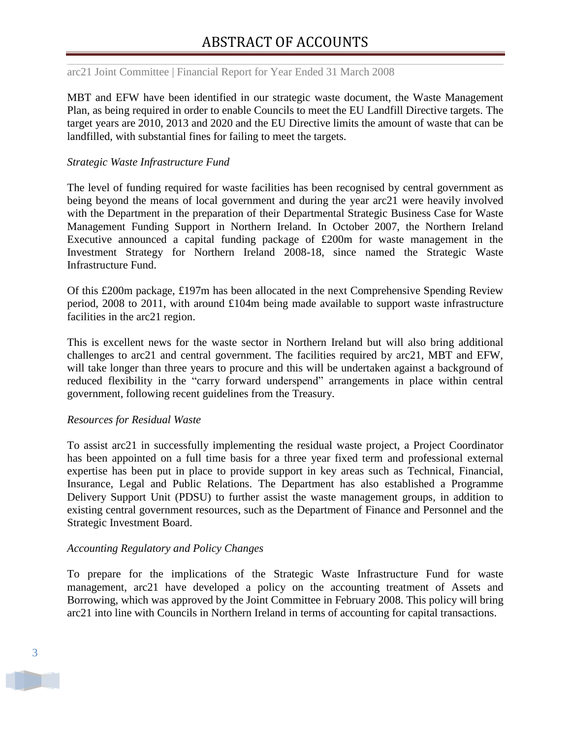arc21 Joint Committee | Financial Report for Year Ended 31 March 2008

MBT and EFW have been identified in our strategic waste document, the Waste Management Plan, as being required in order to enable Councils to meet the EU Landfill Directive targets. The target years are 2010, 2013 and 2020 and the EU Directive limits the amount of waste that can be landfilled, with substantial fines for failing to meet the targets.

#### *Strategic Waste Infrastructure Fund*

The level of funding required for waste facilities has been recognised by central government as being beyond the means of local government and during the year arc21 were heavily involved with the Department in the preparation of their Departmental Strategic Business Case for Waste Management Funding Support in Northern Ireland. In October 2007, the Northern Ireland Executive announced a capital funding package of £200m for waste management in the Investment Strategy for Northern Ireland 2008-18, since named the Strategic Waste Infrastructure Fund.

Of this £200m package, £197m has been allocated in the next Comprehensive Spending Review period, 2008 to 2011, with around £104m being made available to support waste infrastructure facilities in the arc21 region.

This is excellent news for the waste sector in Northern Ireland but will also bring additional challenges to arc21 and central government. The facilities required by arc21, MBT and EFW, will take longer than three years to procure and this will be undertaken against a background of reduced flexibility in the "carry forward underspend" arrangements in place within central government, following recent guidelines from the Treasury.

#### *Resources for Residual Waste*

To assist arc21 in successfully implementing the residual waste project, a Project Coordinator has been appointed on a full time basis for a three year fixed term and professional external expertise has been put in place to provide support in key areas such as Technical, Financial, Insurance, Legal and Public Relations. The Department has also established a Programme Delivery Support Unit (PDSU) to further assist the waste management groups, in addition to existing central government resources, such as the Department of Finance and Personnel and the Strategic Investment Board.

#### *Accounting Regulatory and Policy Changes*

To prepare for the implications of the Strategic Waste Infrastructure Fund for waste management, arc21 have developed a policy on the accounting treatment of Assets and Borrowing, which was approved by the Joint Committee in February 2008. This policy will bring arc21 into line with Councils in Northern Ireland in terms of accounting for capital transactions.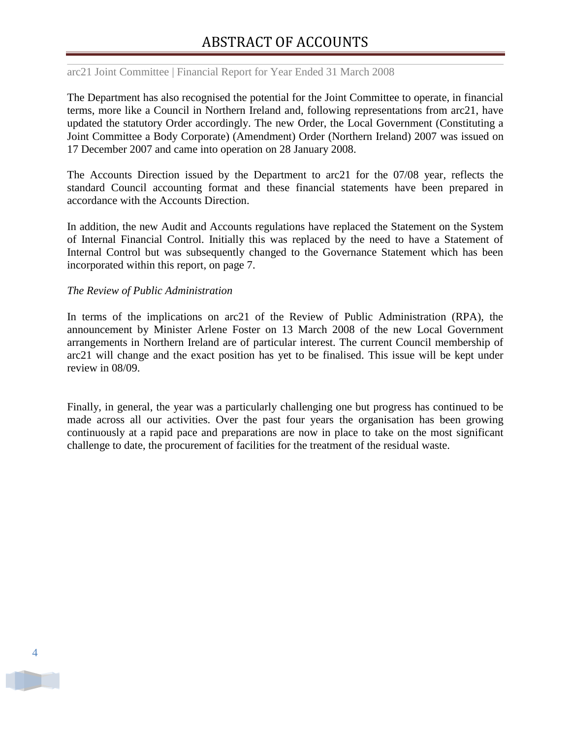arc21 Joint Committee | Financial Report for Year Ended 31 March 2008

The Department has also recognised the potential for the Joint Committee to operate, in financial terms, more like a Council in Northern Ireland and, following representations from arc21, have updated the statutory Order accordingly. The new Order, the Local Government (Constituting a Joint Committee a Body Corporate) (Amendment) Order (Northern Ireland) 2007 was issued on 17 December 2007 and came into operation on 28 January 2008.

The Accounts Direction issued by the Department to arc21 for the 07/08 year, reflects the standard Council accounting format and these financial statements have been prepared in accordance with the Accounts Direction.

In addition, the new Audit and Accounts regulations have replaced the Statement on the System of Internal Financial Control. Initially this was replaced by the need to have a Statement of Internal Control but was subsequently changed to the Governance Statement which has been incorporated within this report, on page 7.

#### *The Review of Public Administration*

In terms of the implications on arc21 of the Review of Public Administration (RPA), the announcement by Minister Arlene Foster on 13 March 2008 of the new Local Government arrangements in Northern Ireland are of particular interest. The current Council membership of arc21 will change and the exact position has yet to be finalised. This issue will be kept under review in 08/09.

Finally, in general, the year was a particularly challenging one but progress has continued to be made across all our activities. Over the past four years the organisation has been growing continuously at a rapid pace and preparations are now in place to take on the most significant challenge to date, the procurement of facilities for the treatment of the residual waste.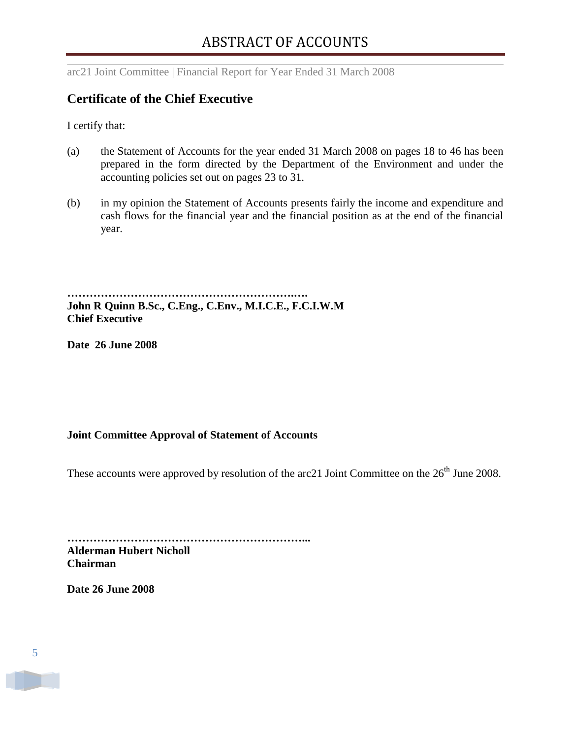## <span id="page-6-0"></span>**Certificate of the Chief Executive**

I certify that:

- (a) the Statement of Accounts for the year ended 31 March 2008 on pages 18 to 46 has been prepared in the form directed by the Department of the Environment and under the accounting policies set out on pages 23 to 31.
- (b) in my opinion the Statement of Accounts presents fairly the income and expenditure and cash flows for the financial year and the financial position as at the end of the financial year.

**…………………………………………………….…. John R Quinn B.Sc., C.Eng., C.Env., M.I.C.E., F.C.I.W.M Chief Executive**

**Date 26 June 2008**

## <span id="page-6-1"></span>**Joint Committee Approval of Statement of Accounts**

These accounts were approved by resolution of the arc21 Joint Committee on the 26<sup>th</sup> June 2008.

**………………………………………………………... Alderman Hubert Nicholl Chairman**

**Date 26 June 2008**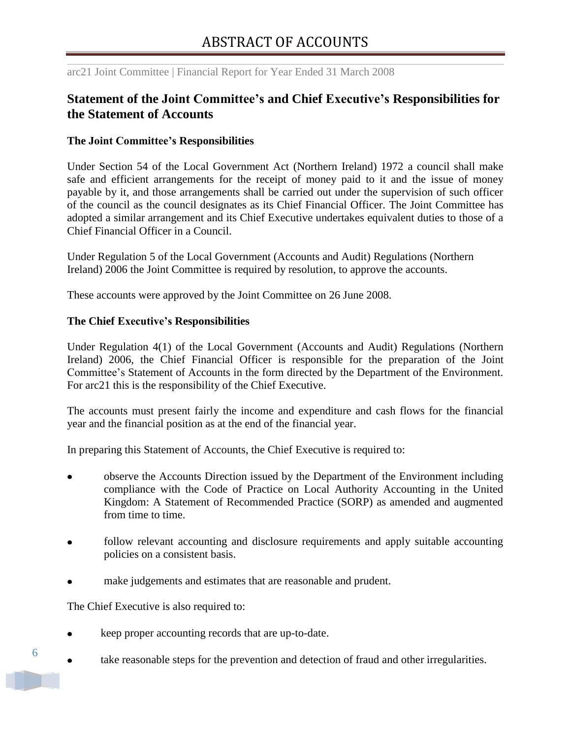## <span id="page-7-0"></span>**Statement of the Joint Committee's and Chief Executive's Responsibilities for the Statement of Accounts**

#### **The Joint Committee's Responsibilities**

Under Section 54 of the Local Government Act (Northern Ireland) 1972 a council shall make safe and efficient arrangements for the receipt of money paid to it and the issue of money payable by it, and those arrangements shall be carried out under the supervision of such officer of the council as the council designates as its Chief Financial Officer. The Joint Committee has adopted a similar arrangement and its Chief Executive undertakes equivalent duties to those of a Chief Financial Officer in a Council.

Under Regulation 5 of the Local Government (Accounts and Audit) Regulations (Northern Ireland) 2006 the Joint Committee is required by resolution, to approve the accounts.

These accounts were approved by the Joint Committee on 26 June 2008.

#### **The Chief Executive's Responsibilities**

Under Regulation 4(1) of the Local Government (Accounts and Audit) Regulations (Northern Ireland) 2006, the Chief Financial Officer is responsible for the preparation of the Joint Committee"s Statement of Accounts in the form directed by the Department of the Environment. For arc21 this is the responsibility of the Chief Executive.

The accounts must present fairly the income and expenditure and cash flows for the financial year and the financial position as at the end of the financial year.

In preparing this Statement of Accounts, the Chief Executive is required to:

- observe the Accounts Direction issued by the Department of the Environment including compliance with the Code of Practice on Local Authority Accounting in the United Kingdom: A Statement of Recommended Practice (SORP) as amended and augmented from time to time.
- follow relevant accounting and disclosure requirements and apply suitable accounting policies on a consistent basis.
- make judgements and estimates that are reasonable and prudent.

The Chief Executive is also required to:

- keep proper accounting records that are up-to-date.
- take reasonable steps for the prevention and detection of fraud and other irregularities.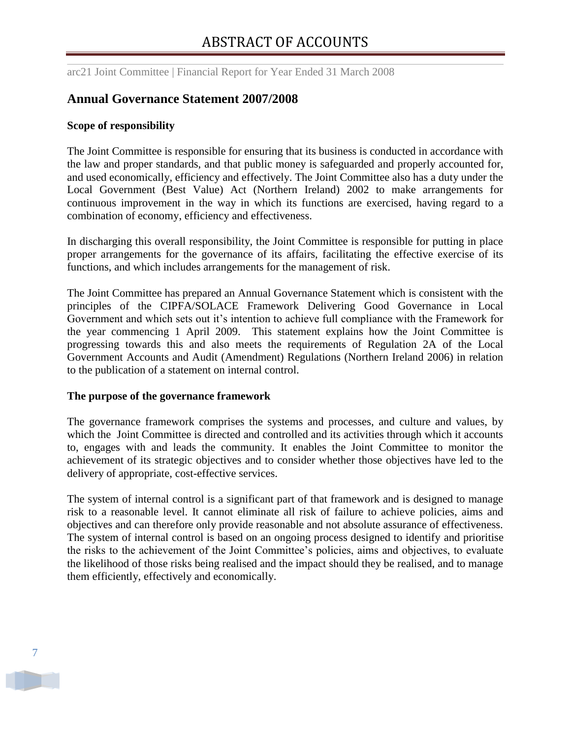## <span id="page-8-0"></span>**Annual Governance Statement 2007/2008**

#### **Scope of responsibility**

The Joint Committee is responsible for ensuring that its business is conducted in accordance with the law and proper standards, and that public money is safeguarded and properly accounted for, and used economically, efficiency and effectively. The Joint Committee also has a duty under the Local Government (Best Value) Act (Northern Ireland) 2002 to make arrangements for continuous improvement in the way in which its functions are exercised, having regard to a combination of economy, efficiency and effectiveness.

In discharging this overall responsibility, the Joint Committee is responsible for putting in place proper arrangements for the governance of its affairs, facilitating the effective exercise of its functions, and which includes arrangements for the management of risk.

The Joint Committee has prepared an Annual Governance Statement which is consistent with the principles of the CIPFA/SOLACE Framework Delivering Good Governance in Local Government and which sets out it's intention to achieve full compliance with the Framework for the year commencing 1 April 2009. This statement explains how the Joint Committee is progressing towards this and also meets the requirements of Regulation 2A of the Local Government Accounts and Audit (Amendment) Regulations (Northern Ireland 2006) in relation to the publication of a statement on internal control.

#### **The purpose of the governance framework**

The governance framework comprises the systems and processes, and culture and values, by which the Joint Committee is directed and controlled and its activities through which it accounts to, engages with and leads the community. It enables the Joint Committee to monitor the achievement of its strategic objectives and to consider whether those objectives have led to the delivery of appropriate, cost-effective services.

The system of internal control is a significant part of that framework and is designed to manage risk to a reasonable level. It cannot eliminate all risk of failure to achieve policies, aims and objectives and can therefore only provide reasonable and not absolute assurance of effectiveness. The system of internal control is based on an ongoing process designed to identify and prioritise the risks to the achievement of the Joint Committee"s policies, aims and objectives, to evaluate the likelihood of those risks being realised and the impact should they be realised, and to manage them efficiently, effectively and economically.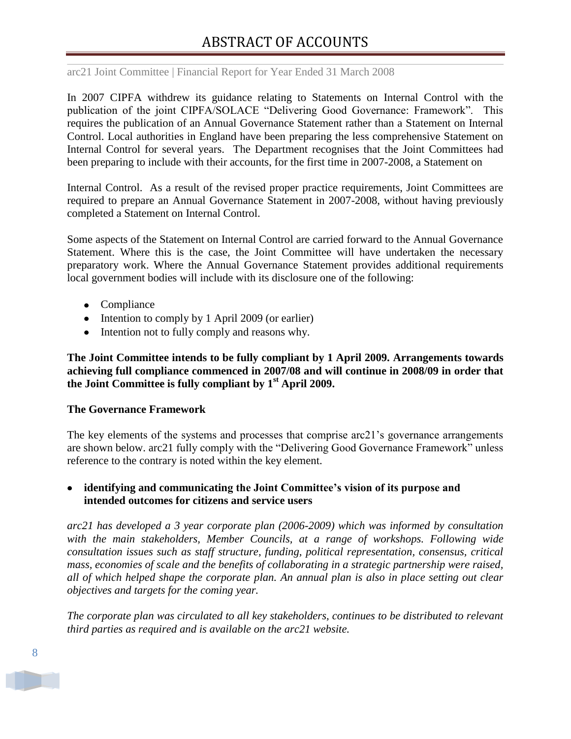arc21 Joint Committee | Financial Report for Year Ended 31 March 2008

In 2007 CIPFA withdrew its guidance relating to Statements on Internal Control with the publication of the joint CIPFA/SOLACE "Delivering Good Governance: Framework". This requires the publication of an Annual Governance Statement rather than a Statement on Internal Control. Local authorities in England have been preparing the less comprehensive Statement on Internal Control for several years. The Department recognises that the Joint Committees had been preparing to include with their accounts, for the first time in 2007-2008, a Statement on

Internal Control. As a result of the revised proper practice requirements, Joint Committees are required to prepare an Annual Governance Statement in 2007-2008, without having previously completed a Statement on Internal Control.

Some aspects of the Statement on Internal Control are carried forward to the Annual Governance Statement. Where this is the case, the Joint Committee will have undertaken the necessary preparatory work. Where the Annual Governance Statement provides additional requirements local government bodies will include with its disclosure one of the following:

- Compliance
- Intention to comply by 1 April 2009 (or earlier)
- Intention not to fully comply and reasons why.

**The Joint Committee intends to be fully compliant by 1 April 2009. Arrangements towards achieving full compliance commenced in 2007/08 and will continue in 2008/09 in order that the Joint Committee is fully compliant by 1st April 2009.**

#### **The Governance Framework**

The key elements of the systems and processes that comprise arc21"s governance arrangements are shown below. arc21 fully comply with the "Delivering Good Governance Framework" unless reference to the contrary is noted within the key element.

## **identifying and communicating the Joint Committee's vision of its purpose and intended outcomes for citizens and service users**

*arc21 has developed a 3 year corporate plan (2006-2009) which was informed by consultation*  with the main stakeholders, Member Councils, at a range of workshops. Following wide *consultation issues such as staff structure, funding, political representation, consensus, critical mass, economies of scale and the benefits of collaborating in a strategic partnership were raised, all of which helped shape the corporate plan. An annual plan is also in place setting out clear objectives and targets for the coming year.* 

*The corporate plan was circulated to all key stakeholders, continues to be distributed to relevant third parties as required and is available on the arc21 website.*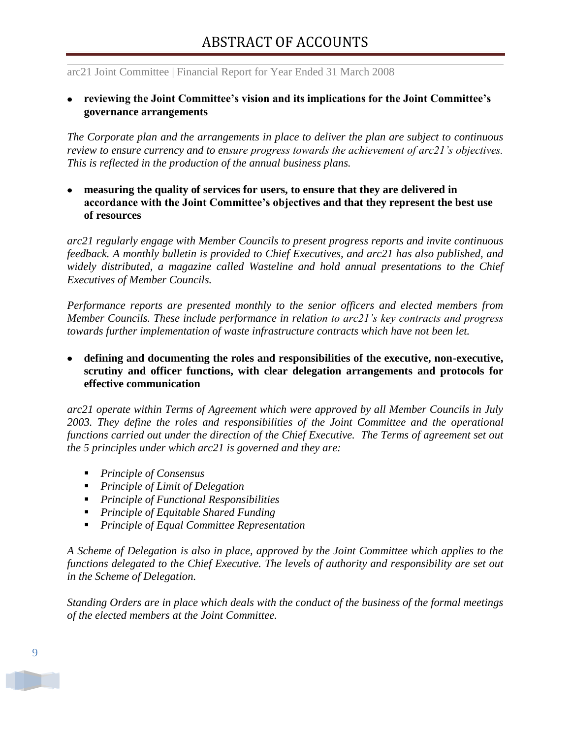## **reviewing the Joint Committee's vision and its implications for the Joint Committee's governance arrangements**

*The Corporate plan and the arrangements in place to deliver the plan are subject to continuous review to ensure currency and to ensure progress towards the achievement of arc21"s objectives. This is reflected in the production of the annual business plans.* 

**measuring the quality of services for users, to ensure that they are delivered in accordance with the Joint Committee's objectives and that they represent the best use of resources** 

*arc21 regularly engage with Member Councils to present progress reports and invite continuous feedback. A monthly bulletin is provided to Chief Executives, and arc21 has also published, and widely distributed, a magazine called Wasteline and hold annual presentations to the Chief Executives of Member Councils.* 

*Performance reports are presented monthly to the senior officers and elected members from Member Councils. These include performance in relation to arc21"s key contracts and progress towards further implementation of waste infrastructure contracts which have not been let.* 

**defining and documenting the roles and responsibilities of the executive, non-executive, scrutiny and officer functions, with clear delegation arrangements and protocols for effective communication** 

*arc21 operate within Terms of Agreement which were approved by all Member Councils in July 2003. They define the roles and responsibilities of the Joint Committee and the operational functions carried out under the direction of the Chief Executive. The Terms of agreement set out the 5 principles under which arc21 is governed and they are:*

- *Principle of Consensus*
- *Principle of Limit of Delegation*
- *Principle of Functional Responsibilities*
- *Principle of Equitable Shared Funding*
- *Principle of Equal Committee Representation*

*A Scheme of Delegation is also in place, approved by the Joint Committee which applies to the functions delegated to the Chief Executive. The levels of authority and responsibility are set out in the Scheme of Delegation.*

*Standing Orders are in place which deals with the conduct of the business of the formal meetings of the elected members at the Joint Committee.*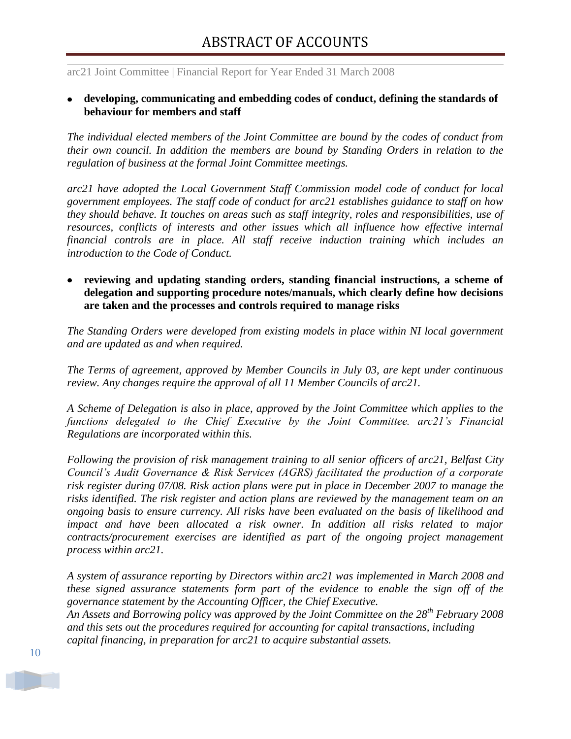#### **developing, communicating and embedding codes of conduct, defining the standards of behaviour for members and staff**

*The individual elected members of the Joint Committee are bound by the codes of conduct from their own council. In addition the members are bound by Standing Orders in relation to the regulation of business at the formal Joint Committee meetings.* 

*arc21 have adopted the Local Government Staff Commission model code of conduct for local government employees. The staff code of conduct for arc21 establishes guidance to staff on how they should behave. It touches on areas such as staff integrity, roles and responsibilities, use of resources, conflicts of interests and other issues which all influence how effective internal financial controls are in place. All staff receive induction training which includes an introduction to the Code of Conduct.*

**reviewing and updating standing orders, standing financial instructions, a scheme of delegation and supporting procedure notes/manuals, which clearly define how decisions are taken and the processes and controls required to manage risks** 

*The Standing Orders were developed from existing models in place within NI local government and are updated as and when required.*

*The Terms of agreement, approved by Member Councils in July 03, are kept under continuous review. Any changes require the approval of all 11 Member Councils of arc21.* 

*A Scheme of Delegation is also in place, approved by the Joint Committee which applies to the functions delegated to the Chief Executive by the Joint Committee. arc21"s Financial Regulations are incorporated within this.* 

*Following the provision of risk management training to all senior officers of arc21, Belfast City Council"s Audit Governance & Risk Services (AGRS) facilitated the production of a corporate risk register during 07/08. Risk action plans were put in place in December 2007 to manage the risks identified. The risk register and action plans are reviewed by the management team on an ongoing basis to ensure currency. All risks have been evaluated on the basis of likelihood and impact and have been allocated a risk owner. In addition all risks related to major contracts/procurement exercises are identified as part of the ongoing project management process within arc21.*

*A system of assurance reporting by Directors within arc21 was implemented in March 2008 and these signed assurance statements form part of the evidence to enable the sign off of the governance statement by the Accounting Officer, the Chief Executive.*

*An Assets and Borrowing policy was approved by the Joint Committee on the 28th February 2008 and this sets out the procedures required for accounting for capital transactions, including capital financing, in preparation for arc21 to acquire substantial assets.*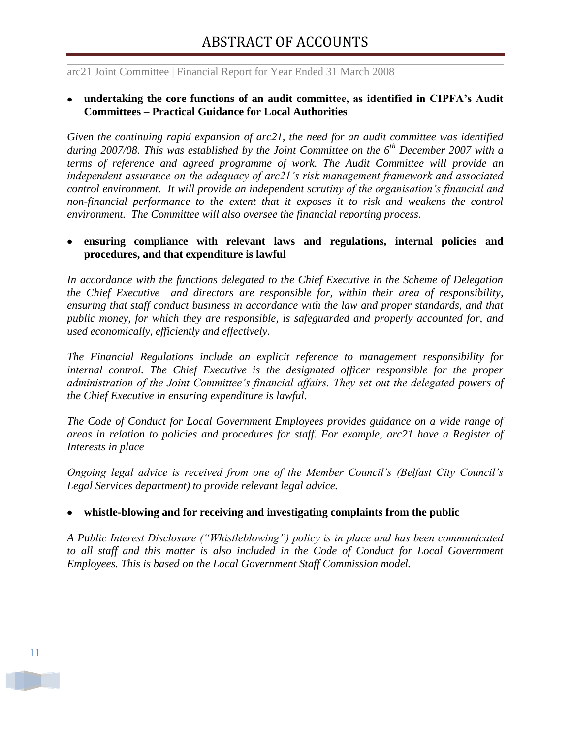#### **undertaking the core functions of an audit committee, as identified in CIPFA's Audit Committees – Practical Guidance for Local Authorities**

*Given the continuing rapid expansion of arc21, the need for an audit committee was identified during 2007/08. This was established by the Joint Committee on the 6th December 2007 with a terms of reference and agreed programme of work. The Audit Committee will provide an independent assurance on the adequacy of arc21"s risk management framework and associated control environment. It will provide an independent scrutiny of the organisation"s financial and non-financial performance to the extent that it exposes it to risk and weakens the control environment. The Committee will also oversee the financial reporting process.*

### **ensuring compliance with relevant laws and regulations, internal policies and procedures, and that expenditure is lawful**

*In accordance with the functions delegated to the Chief Executive in the Scheme of Delegation the Chief Executive and directors are responsible for, within their area of responsibility, ensuring that staff conduct business in accordance with the law and proper standards, and that public money, for which they are responsible, is safeguarded and properly accounted for, and used economically, efficiently and effectively.* 

*The Financial Regulations include an explicit reference to management responsibility for internal control. The Chief Executive is the designated officer responsible for the proper administration of the Joint Committee"s financial affairs. They set out the delegated powers of the Chief Executive in ensuring expenditure is lawful.* 

*The Code of Conduct for Local Government Employees provides guidance on a wide range of areas in relation to policies and procedures for staff. For example, arc21 have a Register of Interests in place*

*Ongoing legal advice is received from one of the Member Council"s (Belfast City Council"s Legal Services department) to provide relevant legal advice.* 

## **whistle-blowing and for receiving and investigating complaints from the public**

*A Public Interest Disclosure ("Whistleblowing") policy is in place and has been communicated to all staff and this matter is also included in the Code of Conduct for Local Government Employees. This is based on the Local Government Staff Commission model.*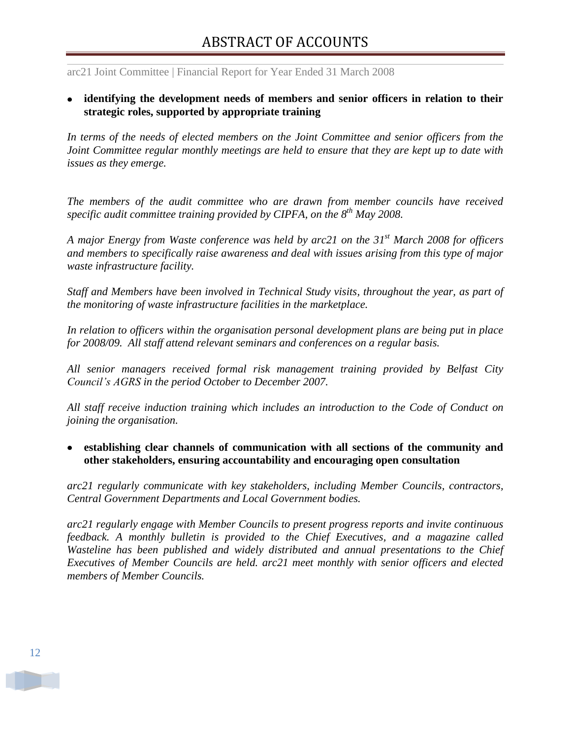**identifying the development needs of members and senior officers in relation to their strategic roles, supported by appropriate training**

*In terms of the needs of elected members on the Joint Committee and senior officers from the Joint Committee regular monthly meetings are held to ensure that they are kept up to date with issues as they emerge.*

*The members of the audit committee who are drawn from member councils have received specific audit committee training provided by CIPFA, on the 8th May 2008.*

*A major Energy from Waste conference was held by arc21 on the 31st March 2008 for officers and members to specifically raise awareness and deal with issues arising from this type of major waste infrastructure facility.* 

*Staff and Members have been involved in Technical Study visits, throughout the year, as part of the monitoring of waste infrastructure facilities in the marketplace.*

*In relation to officers within the organisation personal development plans are being put in place for 2008/09. All staff attend relevant seminars and conferences on a regular basis.* 

*All senior managers received formal risk management training provided by Belfast City Council"s AGRS in the period October to December 2007.*

*All staff receive induction training which includes an introduction to the Code of Conduct on joining the organisation.*

**establishing clear channels of communication with all sections of the community and other stakeholders, ensuring accountability and encouraging open consultation** 

*arc21 regularly communicate with key stakeholders, including Member Councils, contractors, Central Government Departments and Local Government bodies.*

*arc21 regularly engage with Member Councils to present progress reports and invite continuous feedback. A monthly bulletin is provided to the Chief Executives, and a magazine called Wasteline has been published and widely distributed and annual presentations to the Chief Executives of Member Councils are held. arc21 meet monthly with senior officers and elected members of Member Councils.*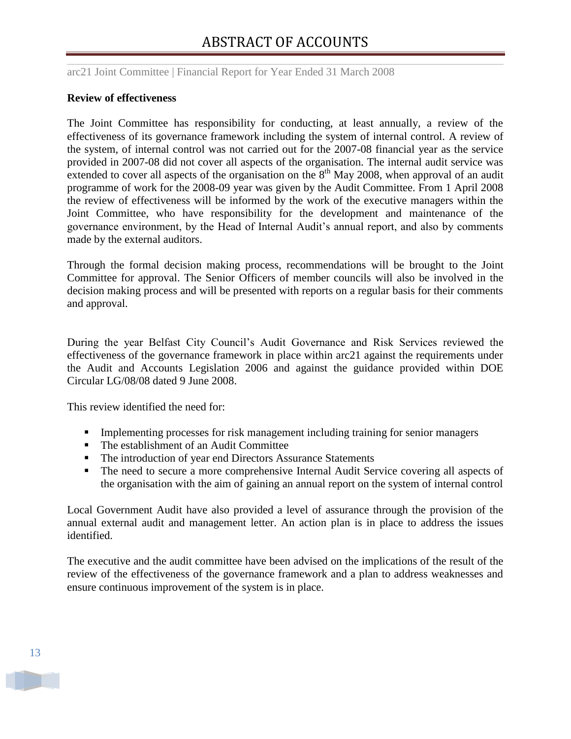arc21 Joint Committee | Financial Report for Year Ended 31 March 2008

#### **Review of effectiveness**

The Joint Committee has responsibility for conducting, at least annually, a review of the effectiveness of its governance framework including the system of internal control. A review of the system, of internal control was not carried out for the 2007-08 financial year as the service provided in 2007-08 did not cover all aspects of the organisation. The internal audit service was extended to cover all aspects of the organisation on the  $8<sup>th</sup>$  May 2008, when approval of an audit programme of work for the 2008-09 year was given by the Audit Committee. From 1 April 2008 the review of effectiveness will be informed by the work of the executive managers within the Joint Committee, who have responsibility for the development and maintenance of the governance environment, by the Head of Internal Audit"s annual report, and also by comments made by the external auditors.

Through the formal decision making process, recommendations will be brought to the Joint Committee for approval. The Senior Officers of member councils will also be involved in the decision making process and will be presented with reports on a regular basis for their comments and approval.

During the year Belfast City Council"s Audit Governance and Risk Services reviewed the effectiveness of the governance framework in place within arc21 against the requirements under the Audit and Accounts Legislation 2006 and against the guidance provided within DOE Circular LG/08/08 dated 9 June 2008.

This review identified the need for:

- Implementing processes for risk management including training for senior managers
- **The establishment of an Audit Committee**
- The introduction of year end Directors Assurance Statements
- The need to secure a more comprehensive Internal Audit Service covering all aspects of the organisation with the aim of gaining an annual report on the system of internal control

Local Government Audit have also provided a level of assurance through the provision of the annual external audit and management letter. An action plan is in place to address the issues identified.

The executive and the audit committee have been advised on the implications of the result of the review of the effectiveness of the governance framework and a plan to address weaknesses and ensure continuous improvement of the system is in place.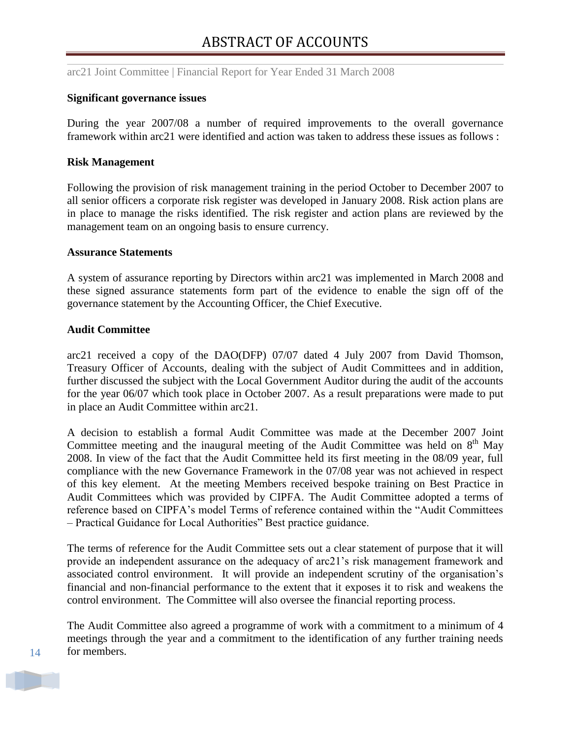#### **Significant governance issues**

During the year 2007/08 a number of required improvements to the overall governance framework within arc21 were identified and action was taken to address these issues as follows :

#### **Risk Management**

Following the provision of risk management training in the period October to December 2007 to all senior officers a corporate risk register was developed in January 2008. Risk action plans are in place to manage the risks identified. The risk register and action plans are reviewed by the management team on an ongoing basis to ensure currency.

#### **Assurance Statements**

A system of assurance reporting by Directors within arc21 was implemented in March 2008 and these signed assurance statements form part of the evidence to enable the sign off of the governance statement by the Accounting Officer, the Chief Executive.

#### **Audit Committee**

arc21 received a copy of the DAO(DFP) 07/07 dated 4 July 2007 from David Thomson, Treasury Officer of Accounts, dealing with the subject of Audit Committees and in addition, further discussed the subject with the Local Government Auditor during the audit of the accounts for the year 06/07 which took place in October 2007. As a result preparations were made to put in place an Audit Committee within arc21.

A decision to establish a formal Audit Committee was made at the December 2007 Joint Committee meeting and the inaugural meeting of the Audit Committee was held on  $8<sup>th</sup>$  May 2008. In view of the fact that the Audit Committee held its first meeting in the 08/09 year, full compliance with the new Governance Framework in the 07/08 year was not achieved in respect of this key element. At the meeting Members received bespoke training on Best Practice in Audit Committees which was provided by CIPFA. The Audit Committee adopted a terms of reference based on CIPFA"s model Terms of reference contained within the "Audit Committees – Practical Guidance for Local Authorities" Best practice guidance.

The terms of reference for the Audit Committee sets out a clear statement of purpose that it will provide an independent assurance on the adequacy of arc21"s risk management framework and associated control environment. It will provide an independent scrutiny of the organisation"s financial and non-financial performance to the extent that it exposes it to risk and weakens the control environment. The Committee will also oversee the financial reporting process.

The Audit Committee also agreed a programme of work with a commitment to a minimum of 4 meetings through the year and a commitment to the identification of any further training needs for members.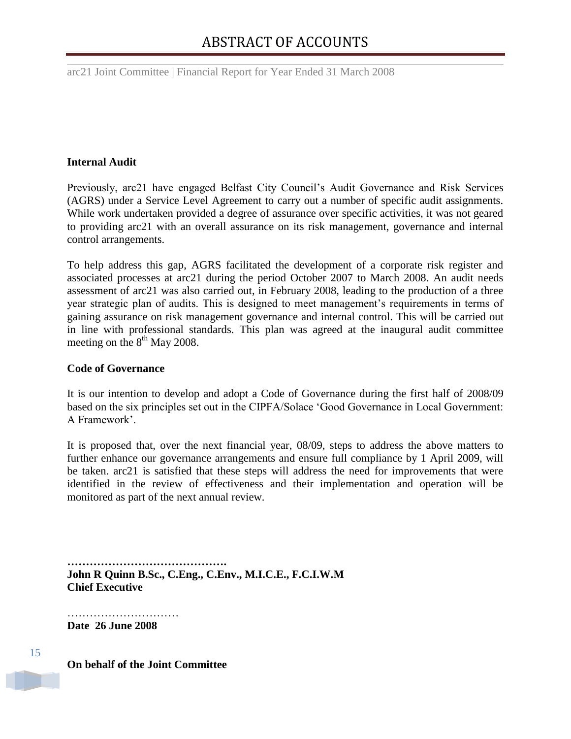#### **Internal Audit**

Previously, arc21 have engaged Belfast City Council's Audit Governance and Risk Services (AGRS) under a Service Level Agreement to carry out a number of specific audit assignments. While work undertaken provided a degree of assurance over specific activities, it was not geared to providing arc21 with an overall assurance on its risk management, governance and internal control arrangements.

To help address this gap, AGRS facilitated the development of a corporate risk register and associated processes at arc21 during the period October 2007 to March 2008. An audit needs assessment of arc21 was also carried out, in February 2008, leading to the production of a three year strategic plan of audits. This is designed to meet management"s requirements in terms of gaining assurance on risk management governance and internal control. This will be carried out in line with professional standards. This plan was agreed at the inaugural audit committee meeting on the  $8<sup>th</sup>$  May 2008.

#### **Code of Governance**

It is our intention to develop and adopt a Code of Governance during the first half of 2008/09 based on the six principles set out in the CIPFA/Solace "Good Governance in Local Government: A Framework".

It is proposed that, over the next financial year, 08/09, steps to address the above matters to further enhance our governance arrangements and ensure full compliance by 1 April 2009, will be taken. arc21 is satisfied that these steps will address the need for improvements that were identified in the review of effectiveness and their implementation and operation will be monitored as part of the next annual review.

**……………………………………. John R Quinn B.Sc., C.Eng., C.Env., M.I.C.E., F.C.I.W.M Chief Executive**

**Date 26 June 2008**

15

**On behalf of the Joint Committee**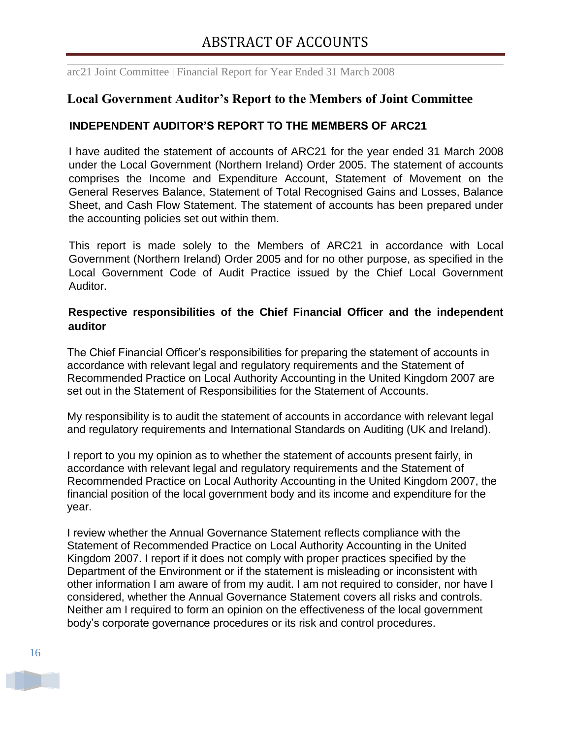## <span id="page-17-0"></span>**Local Government Auditor's Report to the Members of Joint Committee**

## **INDEPENDENT AUDITOR'S REPORT TO THE MEMBERS OF ARC21**

I have audited the statement of accounts of ARC21 for the year ended 31 March 2008 under the Local Government (Northern Ireland) Order 2005. The statement of accounts comprises the Income and Expenditure Account, Statement of Movement on the General Reserves Balance, Statement of Total Recognised Gains and Losses, Balance Sheet, and Cash Flow Statement. The statement of accounts has been prepared under the accounting policies set out within them.

This report is made solely to the Members of ARC21 in accordance with Local Government (Northern Ireland) Order 2005 and for no other purpose, as specified in the Local Government Code of Audit Practice issued by the Chief Local Government Auditor.

## **Respective responsibilities of the Chief Financial Officer and the independent auditor**

The Chief Financial Officer's responsibilities for preparing the statement of accounts in accordance with relevant legal and regulatory requirements and the Statement of Recommended Practice on Local Authority Accounting in the United Kingdom 2007 are set out in the Statement of Responsibilities for the Statement of Accounts.

My responsibility is to audit the statement of accounts in accordance with relevant legal and regulatory requirements and International Standards on Auditing (UK and Ireland).

I report to you my opinion as to whether the statement of accounts present fairly, in accordance with relevant legal and regulatory requirements and the Statement of Recommended Practice on Local Authority Accounting in the United Kingdom 2007, the financial position of the local government body and its income and expenditure for the year.

I review whether the Annual Governance Statement reflects compliance with the Statement of Recommended Practice on Local Authority Accounting in the United Kingdom 2007. I report if it does not comply with proper practices specified by the Department of the Environment or if the statement is misleading or inconsistent with other information I am aware of from my audit. I am not required to consider, nor have I considered, whether the Annual Governance Statement covers all risks and controls. Neither am I required to form an opinion on the effectiveness of the local government body's corporate governance procedures or its risk and control procedures.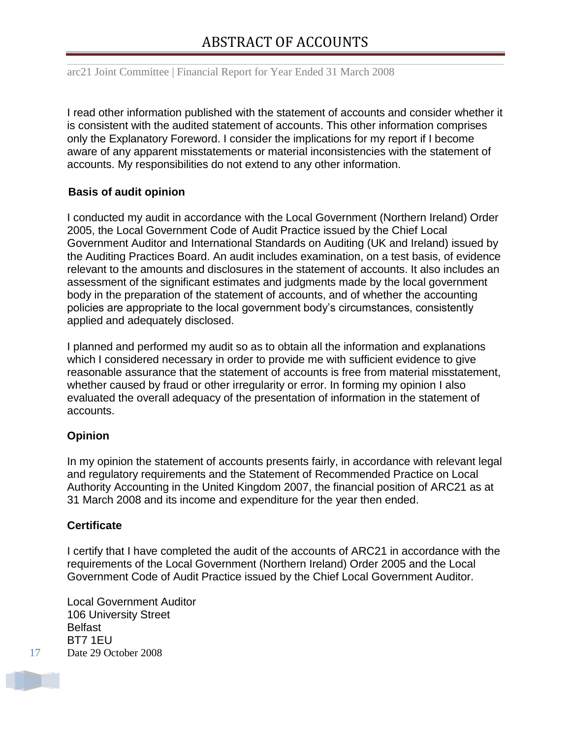I read other information published with the statement of accounts and consider whether it is consistent with the audited statement of accounts. This other information comprises only the Explanatory Foreword. I consider the implications for my report if I become aware of any apparent misstatements or material inconsistencies with the statement of accounts. My responsibilities do not extend to any other information.

## **Basis of audit opinion**

I conducted my audit in accordance with the Local Government (Northern Ireland) Order 2005, the Local Government Code of Audit Practice issued by the Chief Local Government Auditor and International Standards on Auditing (UK and Ireland) issued by the Auditing Practices Board. An audit includes examination, on a test basis, of evidence relevant to the amounts and disclosures in the statement of accounts. It also includes an assessment of the significant estimates and judgments made by the local government body in the preparation of the statement of accounts, and of whether the accounting policies are appropriate to the local government body's circumstances, consistently applied and adequately disclosed.

I planned and performed my audit so as to obtain all the information and explanations which I considered necessary in order to provide me with sufficient evidence to give reasonable assurance that the statement of accounts is free from material misstatement, whether caused by fraud or other irregularity or error. In forming my opinion I also evaluated the overall adequacy of the presentation of information in the statement of accounts.

## **Opinion**

In my opinion the statement of accounts presents fairly, in accordance with relevant legal and regulatory requirements and the Statement of Recommended Practice on Local Authority Accounting in the United Kingdom 2007, the financial position of ARC21 as at 31 March 2008 and its income and expenditure for the year then ended.

## **Certificate**

I certify that I have completed the audit of the accounts of ARC21 in accordance with the requirements of the Local Government (Northern Ireland) Order 2005 and the Local Government Code of Audit Practice issued by the Chief Local Government Auditor.

Local Government Auditor 106 University Street **Belfast** BT7 1EU Date 29 October 2008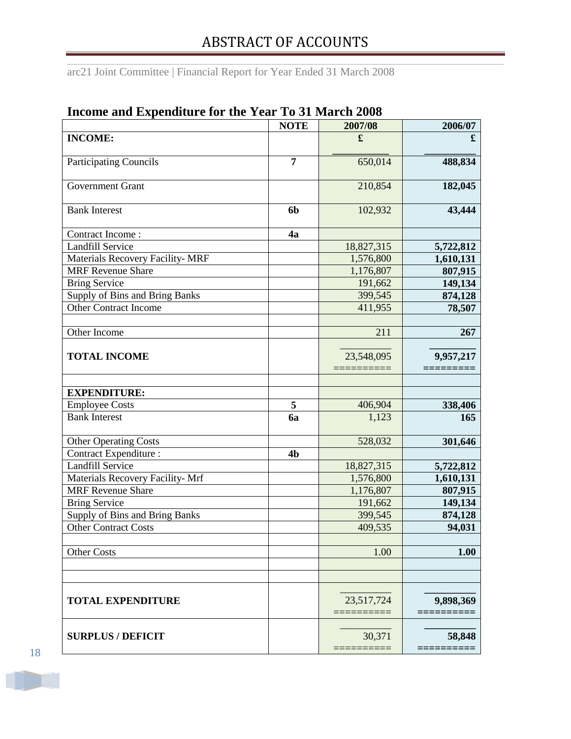arc21 Joint Committee | Financial Report for Year Ended 31 March 2008

| mcome and Expenditure for the Tear To of March 2000 | <b>NOTE</b>    | 2007/08    | 2006/07   |
|-----------------------------------------------------|----------------|------------|-----------|
| <b>INCOME:</b>                                      |                | £          | £         |
|                                                     |                |            |           |
| <b>Participating Councils</b>                       | 7              | 650,014    | 488,834   |
| Government Grant                                    |                | 210,854    | 182,045   |
|                                                     |                |            |           |
| <b>Bank Interest</b>                                | 6 <sub>b</sub> | 102,932    | 43,444    |
| Contract Income:                                    | 4a             |            |           |
| <b>Landfill Service</b>                             |                | 18,827,315 | 5,722,812 |
| Materials Recovery Facility- MRF                    |                | 1,576,800  | 1,610,131 |
| <b>MRF</b> Revenue Share                            |                | 1,176,807  | 807,915   |
| <b>Bring Service</b>                                |                | 191,662    | 149,134   |
| Supply of Bins and Bring Banks                      |                | 399,545    | 874,128   |
| <b>Other Contract Income</b>                        |                | 411,955    | 78,507    |
|                                                     |                |            |           |
| Other Income                                        |                | 211        | 267       |
|                                                     |                |            |           |
| <b>TOTAL INCOME</b>                                 |                | 23,548,095 | 9,957,217 |
|                                                     |                |            |           |
|                                                     |                |            |           |
| <b>EXPENDITURE:</b>                                 |                |            |           |
| <b>Employee Costs</b>                               | 5              | 406,904    | 338,406   |
| <b>Bank Interest</b>                                | 6a             | 1,123      | 165       |
|                                                     |                |            |           |
| <b>Other Operating Costs</b>                        |                | 528,032    | 301,646   |
| <b>Contract Expenditure:</b>                        | 4 <sub>b</sub> |            |           |
| <b>Landfill Service</b>                             |                | 18,827,315 | 5,722,812 |
| Materials Recovery Facility- Mrf                    |                | 1,576,800  | 1,610,131 |
| <b>MRF</b> Revenue Share                            |                | 1,176,807  | 807,915   |
| <b>Bring Service</b>                                |                | 191,662    | 149,134   |
| Supply of Bins and Bring Banks                      |                | 399,545    | 874,128   |
| Other Contract Costs                                |                | 409,535    | 94,031    |
|                                                     |                |            |           |
| <b>Other Costs</b>                                  |                | 1.00       | 1.00      |
|                                                     |                |            |           |
|                                                     |                |            |           |
|                                                     |                |            |           |
| <b>TOTAL EXPENDITURE</b>                            |                | 23,517,724 | 9,898,369 |
|                                                     |                |            |           |
|                                                     |                |            |           |
| <b>SURPLUS / DEFICIT</b>                            |                | 30,371     | 58,848    |
|                                                     |                |            |           |

## <span id="page-19-0"></span>**Income and Expenditure for the Year To 31 March 2008**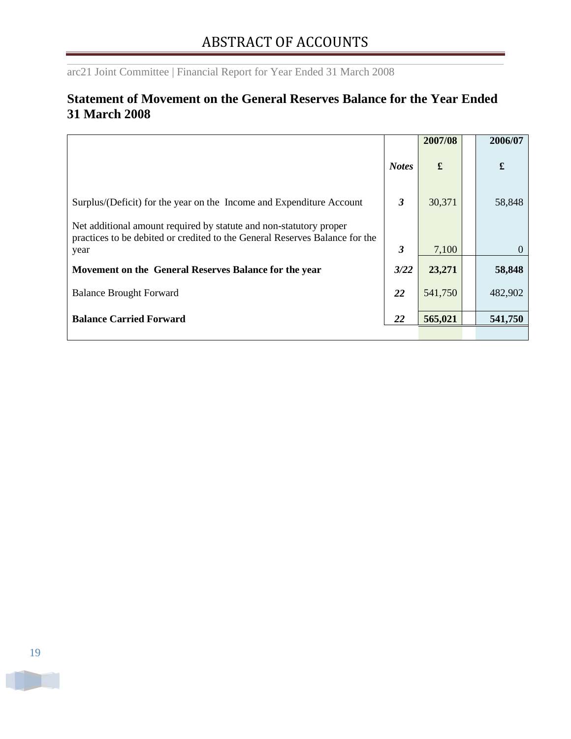## <span id="page-20-0"></span>**Statement of Movement on the General Reserves Balance for the Year Ended 31 March 2008**

|                                                                                                                                                           |              | 2007/08 | 2006/07  |
|-----------------------------------------------------------------------------------------------------------------------------------------------------------|--------------|---------|----------|
|                                                                                                                                                           | <b>Notes</b> | £       | £        |
| Surplus/(Deficit) for the year on the Income and Expenditure Account                                                                                      | 3            | 30,371  | 58,848   |
| Net additional amount required by statute and non-statutory proper<br>practices to be debited or credited to the General Reserves Balance for the<br>year | 3            | 7,100   | $\Omega$ |
| Movement on the General Reserves Balance for the year                                                                                                     | 3/22         | 23,271  | 58,848   |
| <b>Balance Brought Forward</b>                                                                                                                            | 22           | 541,750 | 482,902  |
| <b>Balance Carried Forward</b>                                                                                                                            | 22           | 565,021 | 541,750  |
|                                                                                                                                                           |              |         |          |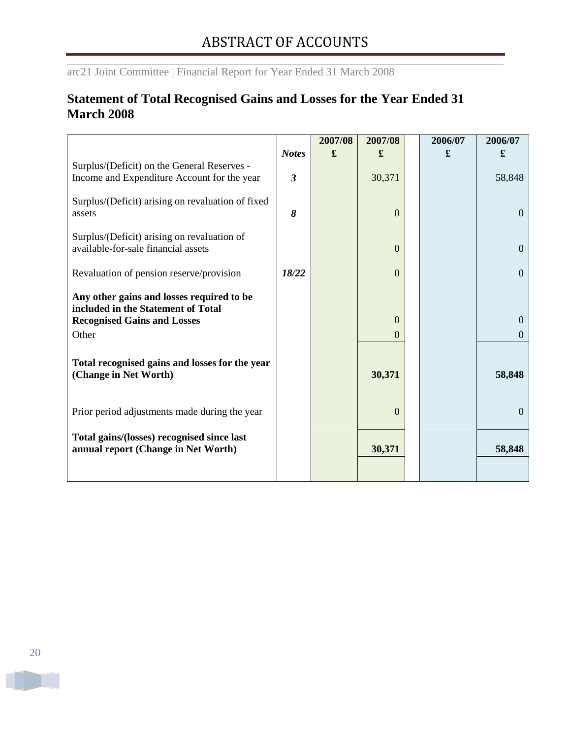## <span id="page-21-0"></span>**Statement of Total Recognised Gains and Losses for the Year Ended 31 March 2008**

|                                                                                            |                | 2007/08 | 2007/08  | 2006/07 | 2006/07        |
|--------------------------------------------------------------------------------------------|----------------|---------|----------|---------|----------------|
|                                                                                            | <b>Notes</b>   | £       | £        | £       | £              |
| Surplus/(Deficit) on the General Reserves -<br>Income and Expenditure Account for the year | $\mathfrak{z}$ |         | 30,371   |         | 58,848         |
| Surplus/(Deficit) arising on revaluation of fixed<br>assets                                | 8              |         | $\Omega$ |         | $\overline{0}$ |
| Surplus/(Deficit) arising on revaluation of<br>available-for-sale financial assets         |                |         | $\theta$ |         | $\mathbf{0}$   |
| Revaluation of pension reserve/provision                                                   | 18/22          |         | $\theta$ |         | $\overline{0}$ |
| Any other gains and losses required to be<br>included in the Statement of Total            |                |         |          |         |                |
| <b>Recognised Gains and Losses</b>                                                         |                |         | $\Omega$ |         | $\Omega$       |
| Other                                                                                      |                |         | $\Omega$ |         | $\Omega$       |
| Total recognised gains and losses for the year<br>(Change in Net Worth)                    |                |         | 30,371   |         | 58,848         |
| Prior period adjustments made during the year                                              |                |         | $\Omega$ |         | $\overline{0}$ |
| Total gains/(losses) recognised since last<br>annual report (Change in Net Worth)          |                |         | 30,371   |         | 58,848         |
|                                                                                            |                |         |          |         |                |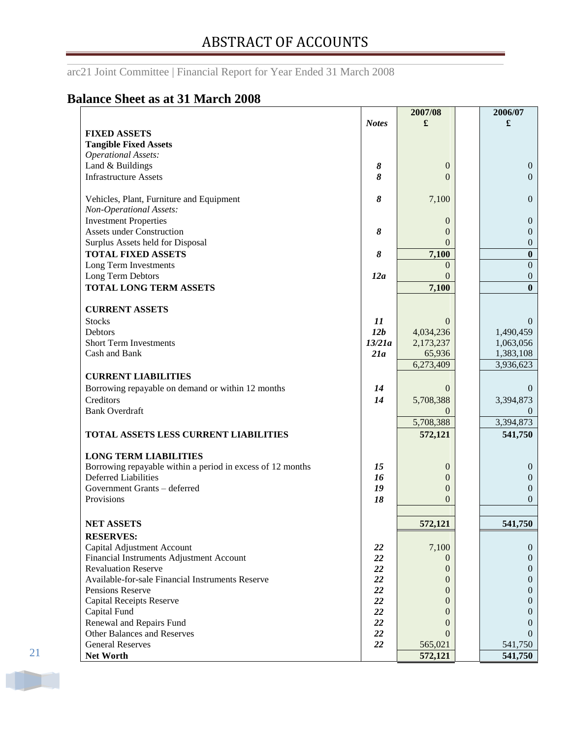arc21 Joint Committee | Financial Report for Year Ended 31 March 2008

## <span id="page-22-0"></span>**Balance Sheet as at 31 March 2008**

|                                                            |              | 2007/08          | 2006/07          |
|------------------------------------------------------------|--------------|------------------|------------------|
|                                                            | <b>Notes</b> | £                | £                |
| <b>FIXED ASSETS</b>                                        |              |                  |                  |
| <b>Tangible Fixed Assets</b>                               |              |                  |                  |
| <b>Operational Assets:</b>                                 |              |                  |                  |
| Land & Buildings                                           | 8            | $\boldsymbol{0}$ | $\mathbf{0}$     |
| <b>Infrastructure Assets</b>                               | 8            | $\Omega$         | $\Omega$         |
|                                                            |              |                  |                  |
| Vehicles, Plant, Furniture and Equipment                   | 8            | 7,100            | $\boldsymbol{0}$ |
| Non-Operational Assets:                                    |              |                  |                  |
| <b>Investment Properties</b>                               |              | $\mathbf{0}$     | $\mathbf{0}$     |
| <b>Assets under Construction</b>                           | 8            | $\Omega$         | $\boldsymbol{0}$ |
| Surplus Assets held for Disposal                           |              | $\Omega$         | $\boldsymbol{0}$ |
| <b>TOTAL FIXED ASSETS</b>                                  | 8            | 7,100            | $\bf{0}$         |
| Long Term Investments                                      |              | $\Omega$         | $\boldsymbol{0}$ |
| Long Term Debtors                                          | 12a          | $\Omega$         | $\theta$         |
| <b>TOTAL LONG TERM ASSETS</b>                              |              | 7,100            | $\mathbf{0}$     |
|                                                            |              |                  |                  |
| <b>CURRENT ASSETS</b>                                      |              |                  |                  |
| <b>Stocks</b>                                              | 11           | $\Omega$         | $\theta$         |
| Debtors                                                    | 12b          | 4,034,236        | 1,490,459        |
| <b>Short Term Investments</b>                              | 13/21a       | 2,173,237        | 1,063,056        |
| Cash and Bank                                              | 21a          | 65,936           | 1,383,108        |
|                                                            |              | 6,273,409        | 3,936,623        |
| <b>CURRENT LIABILITIES</b>                                 |              |                  |                  |
| Borrowing repayable on demand or within 12 months          | 14           | $\Omega$         | $\theta$         |
|                                                            |              |                  |                  |
| Creditors<br><b>Bank Overdraft</b>                         | 14           | 5,708,388        | 3,394,873        |
|                                                            |              | $\Omega$         | $\theta$         |
|                                                            |              | 5,708,388        | 3,394,873        |
| TOTAL ASSETS LESS CURRENT LIABILITIES                      |              | 572,121          | 541,750          |
| <b>LONG TERM LIABILITIES</b>                               |              |                  |                  |
| Borrowing repayable within a period in excess of 12 months | 15           | $\mathbf{0}$     | $\boldsymbol{0}$ |
| <b>Deferred Liabilities</b>                                | 16           | $\theta$         | $\theta$         |
| Government Grants - deferred                               | 19           | $\theta$         | $\boldsymbol{0}$ |
| Provisions                                                 | 18           | $\Omega$         | $\theta$         |
|                                                            |              |                  |                  |
| <b>NET ASSETS</b>                                          |              | 572,121          | 541,750          |
| <b>RESERVES:</b>                                           |              |                  |                  |
| Capital Adjustment Account                                 | <b>22</b>    | 7,100            | $\mathbf{0}$     |
| Financial Instruments Adjustment Account                   | 22           | $\theta$         | $\theta$         |
| <b>Revaluation Reserve</b>                                 | 22           | $\theta$         | $\theta$         |
| Available-for-sale Financial Instruments Reserve           | 22           | $\theta$         | $\theta$         |
| Pensions Reserve                                           | 22           | $\theta$         | $\theta$         |
| <b>Capital Receipts Reserve</b>                            | 22           | 0                | $\theta$         |
| Capital Fund                                               | 22           | $\Omega$         | $\theta$         |
| Renewal and Repairs Fund                                   | 22           | $\theta$         | $\mathbf{0}$     |
| Other Balances and Reserves                                | 22           | $\theta$         | $\theta$         |
| <b>General Reserves</b>                                    | 22           | 565,021          | 541,750          |
| <b>Net Worth</b>                                           |              | 572,121          | 541,750          |
|                                                            |              |                  |                  |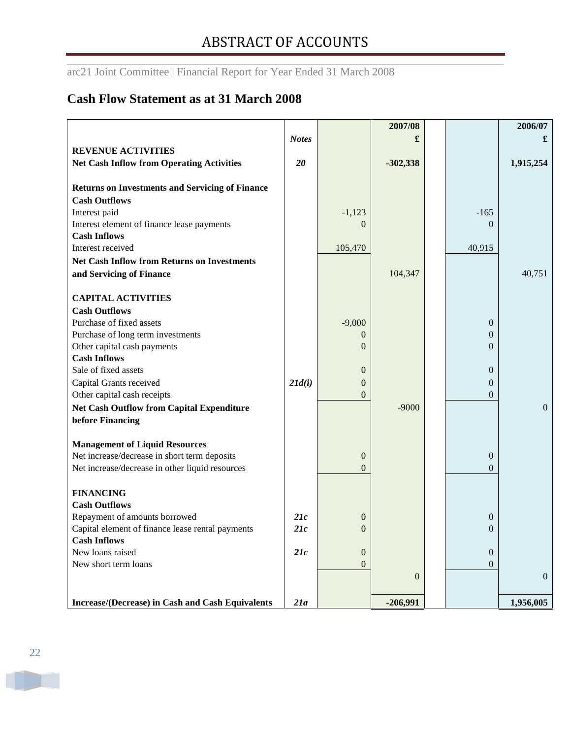## <span id="page-23-0"></span>**Cash Flow Statement as at 31 March 2008**

| 20                | $-1,123$<br>$\Omega$<br>105,470                                                                                            | $-302,338$<br>104,347 |            | $-165$<br>$\Omega$<br>40,915                                                                                                             | 1,915,254<br>40,751   |
|-------------------|----------------------------------------------------------------------------------------------------------------------------|-----------------------|------------|------------------------------------------------------------------------------------------------------------------------------------------|-----------------------|
| 21d(i)            | $-9,000$<br>$\overline{0}$<br>$\Omega$<br>$\boldsymbol{0}$<br>$\overline{0}$<br>$\Omega$<br>$\mathbf{0}$<br>$\overline{0}$ | $-9000$               |            | $\boldsymbol{0}$<br>$\overline{0}$<br>$\theta$<br>$\boldsymbol{0}$<br>$\boldsymbol{0}$<br>$\Omega$<br>$\boldsymbol{0}$<br>$\overline{0}$ | $\mathbf{0}$          |
| 21c<br>21c<br>21c | $\boldsymbol{0}$<br>$\Omega$<br>$\boldsymbol{0}$<br>$\Omega$                                                               | $\theta$              |            | $\boldsymbol{0}$<br>$\theta$<br>$\boldsymbol{0}$<br>$\Omega$                                                                             | $\Omega$<br>1,956,005 |
|                   | 21a                                                                                                                        |                       | $-206,991$ |                                                                                                                                          |                       |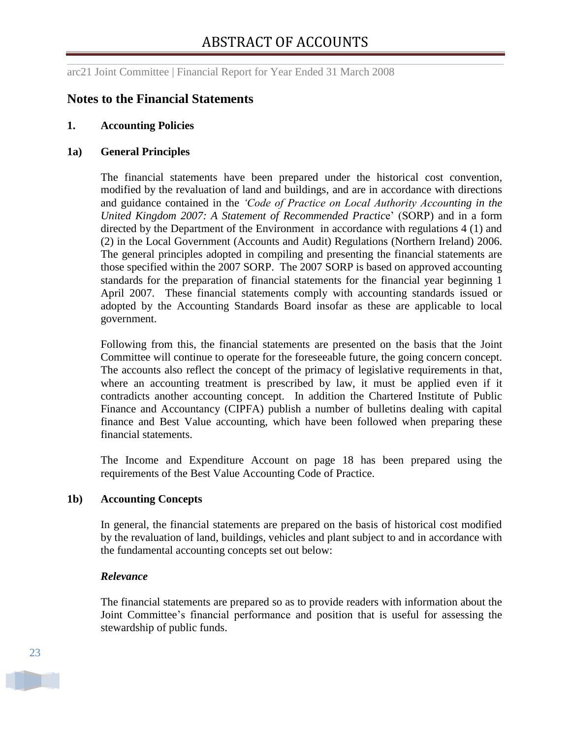## <span id="page-24-0"></span>**Notes to the Financial Statements**

#### **1. Accounting Policies**

#### **1a) General Principles**

The financial statements have been prepared under the historical cost convention, modified by the revaluation of land and buildings, and are in accordance with directions and guidance contained in the *"Code of Practice on Local Authority Accounting in the United Kingdom 2007: A Statement of Recommended Practic*e" (SORP) and in a form directed by the Department of the Environment in accordance with regulations 4 (1) and (2) in the Local Government (Accounts and Audit) Regulations (Northern Ireland) 2006. The general principles adopted in compiling and presenting the financial statements are those specified within the 2007 SORP. The 2007 SORP is based on approved accounting standards for the preparation of financial statements for the financial year beginning 1 April 2007. These financial statements comply with accounting standards issued or adopted by the Accounting Standards Board insofar as these are applicable to local government.

Following from this, the financial statements are presented on the basis that the Joint Committee will continue to operate for the foreseeable future, the going concern concept. The accounts also reflect the concept of the primacy of legislative requirements in that, where an accounting treatment is prescribed by law, it must be applied even if it contradicts another accounting concept. In addition the Chartered Institute of Public Finance and Accountancy (CIPFA) publish a number of bulletins dealing with capital finance and Best Value accounting, which have been followed when preparing these financial statements.

The Income and Expenditure Account on page 18 has been prepared using the requirements of the Best Value Accounting Code of Practice.

#### **1b) Accounting Concepts**

In general, the financial statements are prepared on the basis of historical cost modified by the revaluation of land, buildings, vehicles and plant subject to and in accordance with the fundamental accounting concepts set out below:

#### *Relevance*

The financial statements are prepared so as to provide readers with information about the Joint Committee"s financial performance and position that is useful for assessing the stewardship of public funds.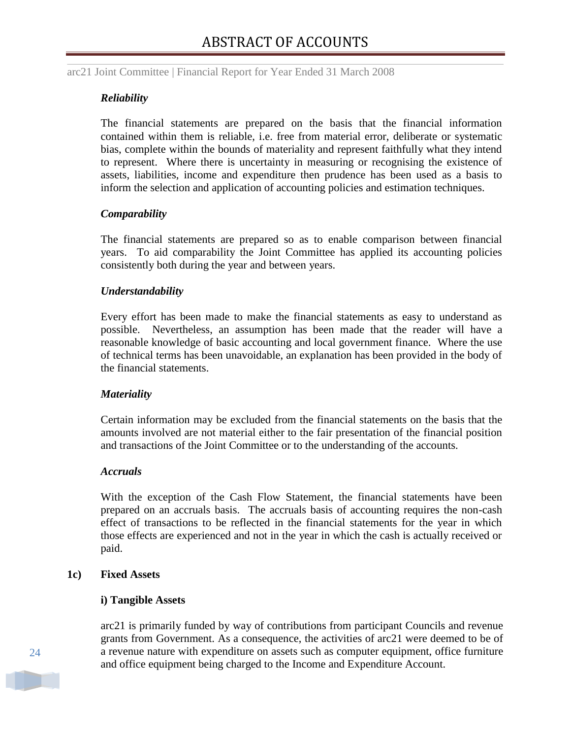#### *Reliability*

The financial statements are prepared on the basis that the financial information contained within them is reliable, i.e. free from material error, deliberate or systematic bias, complete within the bounds of materiality and represent faithfully what they intend to represent. Where there is uncertainty in measuring or recognising the existence of assets, liabilities, income and expenditure then prudence has been used as a basis to inform the selection and application of accounting policies and estimation techniques.

#### *Comparability*

The financial statements are prepared so as to enable comparison between financial years. To aid comparability the Joint Committee has applied its accounting policies consistently both during the year and between years.

#### *Understandability*

Every effort has been made to make the financial statements as easy to understand as possible. Nevertheless, an assumption has been made that the reader will have a reasonable knowledge of basic accounting and local government finance. Where the use of technical terms has been unavoidable, an explanation has been provided in the body of the financial statements.

#### *Materiality*

Certain information may be excluded from the financial statements on the basis that the amounts involved are not material either to the fair presentation of the financial position and transactions of the Joint Committee or to the understanding of the accounts.

#### *Accruals*

With the exception of the Cash Flow Statement, the financial statements have been prepared on an accruals basis. The accruals basis of accounting requires the non-cash effect of transactions to be reflected in the financial statements for the year in which those effects are experienced and not in the year in which the cash is actually received or paid.

#### **1c) Fixed Assets**

#### **i) Tangible Assets**

arc21 is primarily funded by way of contributions from participant Councils and revenue grants from Government. As a consequence, the activities of arc21 were deemed to be of a revenue nature with expenditure on assets such as computer equipment, office furniture and office equipment being charged to the Income and Expenditure Account.

24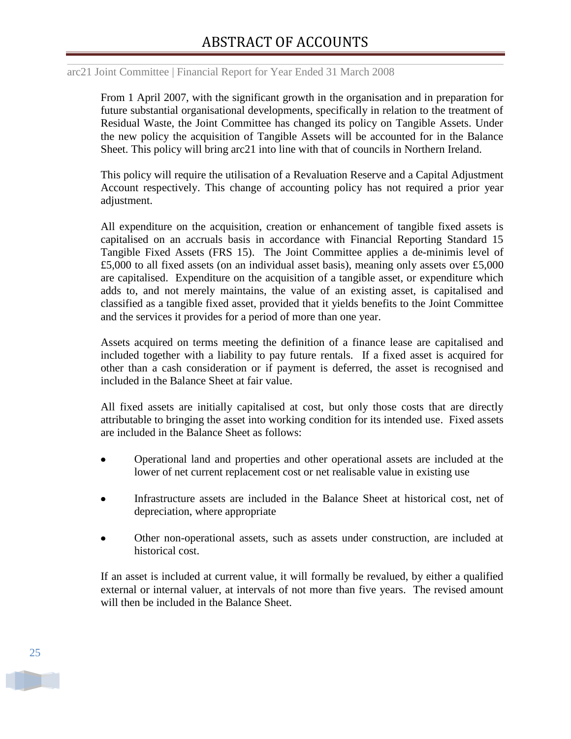### arc21 Joint Committee | Financial Report for Year Ended 31 March 2008

From 1 April 2007, with the significant growth in the organisation and in preparation for future substantial organisational developments, specifically in relation to the treatment of Residual Waste, the Joint Committee has changed its policy on Tangible Assets. Under the new policy the acquisition of Tangible Assets will be accounted for in the Balance Sheet. This policy will bring arc21 into line with that of councils in Northern Ireland.

This policy will require the utilisation of a Revaluation Reserve and a Capital Adjustment Account respectively. This change of accounting policy has not required a prior year adjustment.

All expenditure on the acquisition, creation or enhancement of tangible fixed assets is capitalised on an accruals basis in accordance with Financial Reporting Standard 15 Tangible Fixed Assets (FRS 15). The Joint Committee applies a de-minimis level of £5,000 to all fixed assets (on an individual asset basis), meaning only assets over £5,000 are capitalised. Expenditure on the acquisition of a tangible asset, or expenditure which adds to, and not merely maintains, the value of an existing asset, is capitalised and classified as a tangible fixed asset, provided that it yields benefits to the Joint Committee and the services it provides for a period of more than one year.

Assets acquired on terms meeting the definition of a finance lease are capitalised and included together with a liability to pay future rentals. If a fixed asset is acquired for other than a cash consideration or if payment is deferred, the asset is recognised and included in the Balance Sheet at fair value.

All fixed assets are initially capitalised at cost, but only those costs that are directly attributable to bringing the asset into working condition for its intended use. Fixed assets are included in the Balance Sheet as follows:

- Operational land and properties and other operational assets are included at the  $\bullet$ lower of net current replacement cost or net realisable value in existing use
- Infrastructure assets are included in the Balance Sheet at historical cost, net of  $\bullet$ depreciation, where appropriate
- Other non-operational assets, such as assets under construction, are included at  $\bullet$ historical cost.

If an asset is included at current value, it will formally be revalued, by either a qualified external or internal valuer, at intervals of not more than five years. The revised amount will then be included in the Balance Sheet.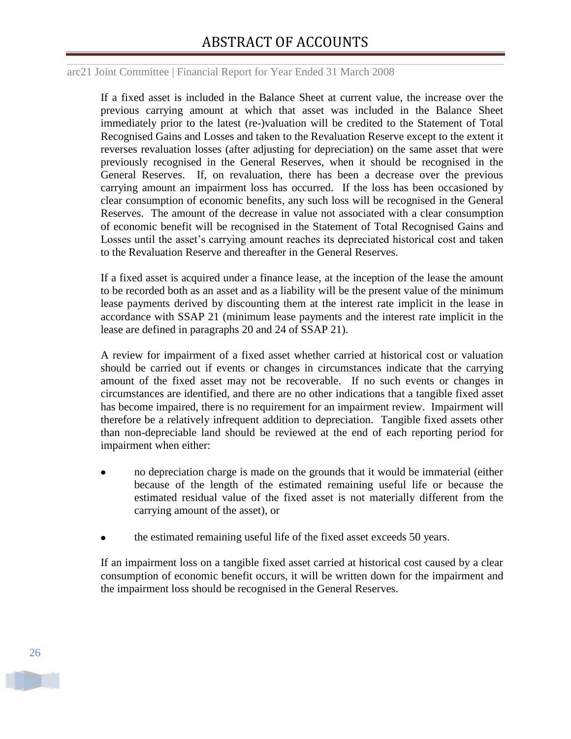If a fixed asset is included in the Balance Sheet at current value, the increase over the previous carrying amount at which that asset was included in the Balance Sheet immediately prior to the latest (re-)valuation will be credited to the Statement of Total Recognised Gains and Losses and taken to the Revaluation Reserve except to the extent it reverses revaluation losses (after adjusting for depreciation) on the same asset that were previously recognised in the General Reserves, when it should be recognised in the General Reserves. If, on revaluation, there has been a decrease over the previous carrying amount an impairment loss has occurred. If the loss has been occasioned by clear consumption of economic benefits, any such loss will be recognised in the General Reserves. The amount of the decrease in value not associated with a clear consumption of economic benefit will be recognised in the Statement of Total Recognised Gains and Losses until the asset's carrying amount reaches its depreciated historical cost and taken to the Revaluation Reserve and thereafter in the General Reserves.

If a fixed asset is acquired under a finance lease, at the inception of the lease the amount to be recorded both as an asset and as a liability will be the present value of the minimum lease payments derived by discounting them at the interest rate implicit in the lease in accordance with SSAP 21 (minimum lease payments and the interest rate implicit in the lease are defined in paragraphs 20 and 24 of SSAP 21).

A review for impairment of a fixed asset whether carried at historical cost or valuation should be carried out if events or changes in circumstances indicate that the carrying amount of the fixed asset may not be recoverable. If no such events or changes in circumstances are identified, and there are no other indications that a tangible fixed asset has become impaired, there is no requirement for an impairment review. Impairment will therefore be a relatively infrequent addition to depreciation. Tangible fixed assets other than non-depreciable land should be reviewed at the end of each reporting period for impairment when either:

- no depreciation charge is made on the grounds that it would be immaterial (either  $\bullet$ because of the length of the estimated remaining useful life or because the estimated residual value of the fixed asset is not materially different from the carrying amount of the asset), or
- the estimated remaining useful life of the fixed asset exceeds 50 years.

If an impairment loss on a tangible fixed asset carried at historical cost caused by a clear consumption of economic benefit occurs, it will be written down for the impairment and the impairment loss should be recognised in the General Reserves.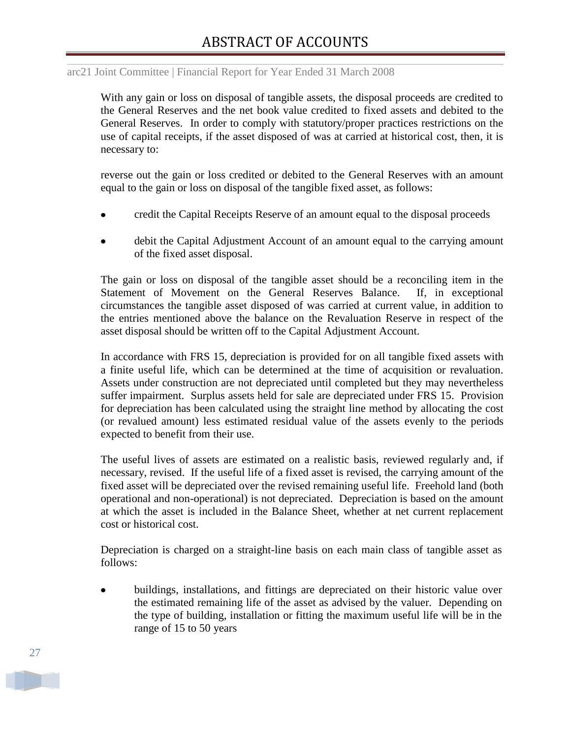#### arc21 Joint Committee | Financial Report for Year Ended 31 March 2008

With any gain or loss on disposal of tangible assets, the disposal proceeds are credited to the General Reserves and the net book value credited to fixed assets and debited to the General Reserves. In order to comply with statutory/proper practices restrictions on the use of capital receipts, if the asset disposed of was at carried at historical cost, then, it is necessary to:

reverse out the gain or loss credited or debited to the General Reserves with an amount equal to the gain or loss on disposal of the tangible fixed asset, as follows:

- credit the Capital Receipts Reserve of an amount equal to the disposal proceeds
- debit the Capital Adjustment Account of an amount equal to the carrying amount of the fixed asset disposal.

The gain or loss on disposal of the tangible asset should be a reconciling item in the Statement of Movement on the General Reserves Balance. If, in exceptional circumstances the tangible asset disposed of was carried at current value, in addition to the entries mentioned above the balance on the Revaluation Reserve in respect of the asset disposal should be written off to the Capital Adjustment Account.

In accordance with FRS 15, depreciation is provided for on all tangible fixed assets with a finite useful life, which can be determined at the time of acquisition or revaluation. Assets under construction are not depreciated until completed but they may nevertheless suffer impairment. Surplus assets held for sale are depreciated under FRS 15. Provision for depreciation has been calculated using the straight line method by allocating the cost (or revalued amount) less estimated residual value of the assets evenly to the periods expected to benefit from their use.

The useful lives of assets are estimated on a realistic basis, reviewed regularly and, if necessary, revised. If the useful life of a fixed asset is revised, the carrying amount of the fixed asset will be depreciated over the revised remaining useful life. Freehold land (both operational and non-operational) is not depreciated. Depreciation is based on the amount at which the asset is included in the Balance Sheet, whether at net current replacement cost or historical cost.

Depreciation is charged on a straight-line basis on each main class of tangible asset as follows:

buildings, installations, and fittings are depreciated on their historic value over the estimated remaining life of the asset as advised by the valuer. Depending on the type of building, installation or fitting the maximum useful life will be in the range of 15 to 50 years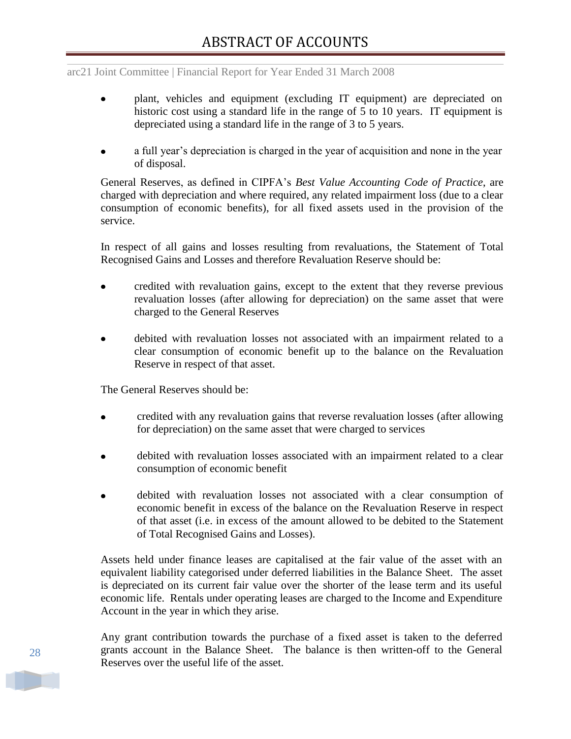- plant, vehicles and equipment (excluding IT equipment) are depreciated on historic cost using a standard life in the range of 5 to 10 years. IT equipment is depreciated using a standard life in the range of 3 to 5 years.
- a full year's depreciation is charged in the year of acquisition and none in the year of disposal.

General Reserves, as defined in CIPFA"s *Best Value Accounting Code of Practice*, are charged with depreciation and where required, any related impairment loss (due to a clear consumption of economic benefits), for all fixed assets used in the provision of the service.

In respect of all gains and losses resulting from revaluations, the Statement of Total Recognised Gains and Losses and therefore Revaluation Reserve should be:

- credited with revaluation gains, except to the extent that they reverse previous revaluation losses (after allowing for depreciation) on the same asset that were charged to the General Reserves
- debited with revaluation losses not associated with an impairment related to a clear consumption of economic benefit up to the balance on the Revaluation Reserve in respect of that asset.

The General Reserves should be:

- credited with any revaluation gains that reverse revaluation losses (after allowing  $\bullet$ for depreciation) on the same asset that were charged to services
- debited with revaluation losses associated with an impairment related to a clear consumption of economic benefit
- debited with revaluation losses not associated with a clear consumption of economic benefit in excess of the balance on the Revaluation Reserve in respect of that asset (i.e. in excess of the amount allowed to be debited to the Statement of Total Recognised Gains and Losses).

Assets held under finance leases are capitalised at the fair value of the asset with an equivalent liability categorised under deferred liabilities in the Balance Sheet. The asset is depreciated on its current fair value over the shorter of the lease term and its useful economic life. Rentals under operating leases are charged to the Income and Expenditure Account in the year in which they arise.

Any grant contribution towards the purchase of a fixed asset is taken to the deferred grants account in the Balance Sheet. The balance is then written-off to the General Reserves over the useful life of the asset.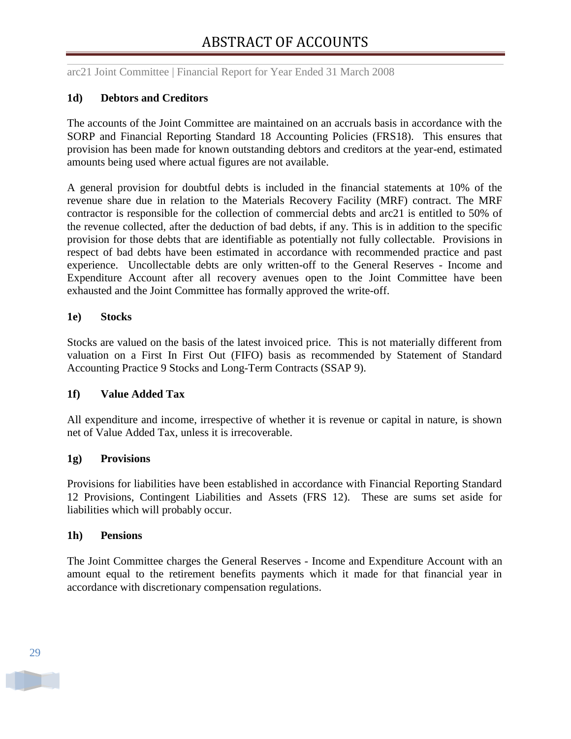### **1d) Debtors and Creditors**

The accounts of the Joint Committee are maintained on an accruals basis in accordance with the SORP and Financial Reporting Standard 18 Accounting Policies (FRS18). This ensures that provision has been made for known outstanding debtors and creditors at the year-end, estimated amounts being used where actual figures are not available.

A general provision for doubtful debts is included in the financial statements at 10% of the revenue share due in relation to the Materials Recovery Facility (MRF) contract. The MRF contractor is responsible for the collection of commercial debts and arc21 is entitled to 50% of the revenue collected, after the deduction of bad debts, if any. This is in addition to the specific provision for those debts that are identifiable as potentially not fully collectable. Provisions in respect of bad debts have been estimated in accordance with recommended practice and past experience. Uncollectable debts are only written-off to the General Reserves - Income and Expenditure Account after all recovery avenues open to the Joint Committee have been exhausted and the Joint Committee has formally approved the write-off.

#### **1e) Stocks**

Stocks are valued on the basis of the latest invoiced price. This is not materially different from valuation on a First In First Out (FIFO) basis as recommended by Statement of Standard Accounting Practice 9 Stocks and Long-Term Contracts (SSAP 9).

#### **1f) Value Added Tax**

All expenditure and income, irrespective of whether it is revenue or capital in nature, is shown net of Value Added Tax, unless it is irrecoverable.

#### **1g) Provisions**

Provisions for liabilities have been established in accordance with Financial Reporting Standard 12 Provisions, Contingent Liabilities and Assets (FRS 12). These are sums set aside for liabilities which will probably occur.

#### **1h) Pensions**

The Joint Committee charges the General Reserves - Income and Expenditure Account with an amount equal to the retirement benefits payments which it made for that financial year in accordance with discretionary compensation regulations.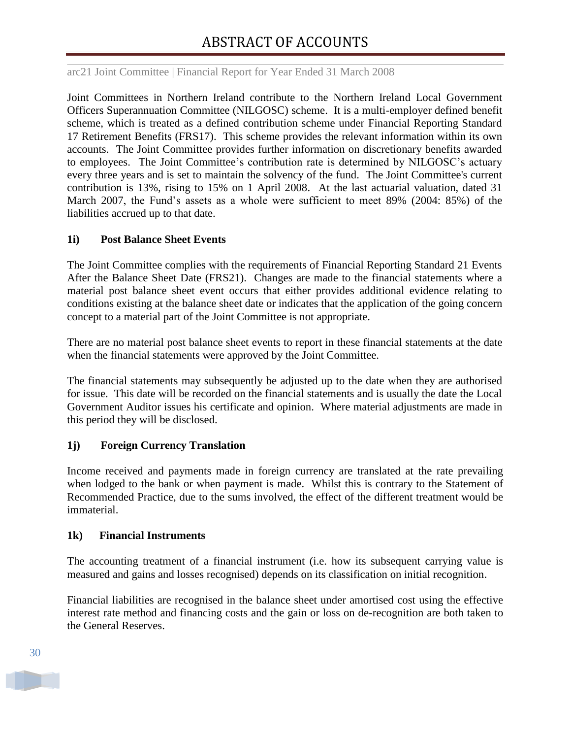Joint Committees in Northern Ireland contribute to the Northern Ireland Local Government Officers Superannuation Committee (NILGOSC) scheme. It is a multi-employer defined benefit scheme, which is treated as a defined contribution scheme under Financial Reporting Standard 17 Retirement Benefits (FRS17). This scheme provides the relevant information within its own accounts. The Joint Committee provides further information on discretionary benefits awarded to employees. The Joint Committee's contribution rate is determined by NILGOSC's actuary every three years and is set to maintain the solvency of the fund. The Joint Committee's current contribution is 13%, rising to 15% on 1 April 2008. At the last actuarial valuation, dated 31 March 2007, the Fund"s assets as a whole were sufficient to meet 89% (2004: 85%) of the liabilities accrued up to that date.

#### **1i) Post Balance Sheet Events**

The Joint Committee complies with the requirements of Financial Reporting Standard 21 Events After the Balance Sheet Date (FRS21). Changes are made to the financial statements where a material post balance sheet event occurs that either provides additional evidence relating to conditions existing at the balance sheet date or indicates that the application of the going concern concept to a material part of the Joint Committee is not appropriate.

There are no material post balance sheet events to report in these financial statements at the date when the financial statements were approved by the Joint Committee.

The financial statements may subsequently be adjusted up to the date when they are authorised for issue. This date will be recorded on the financial statements and is usually the date the Local Government Auditor issues his certificate and opinion. Where material adjustments are made in this period they will be disclosed.

#### **1j) Foreign Currency Translation**

Income received and payments made in foreign currency are translated at the rate prevailing when lodged to the bank or when payment is made. Whilst this is contrary to the Statement of Recommended Practice, due to the sums involved, the effect of the different treatment would be immaterial.

#### **1k) Financial Instruments**

The accounting treatment of a financial instrument (i.e. how its subsequent carrying value is measured and gains and losses recognised) depends on its classification on initial recognition.

Financial liabilities are recognised in the balance sheet under amortised cost using the effective interest rate method and financing costs and the gain or loss on de-recognition are both taken to the General Reserves.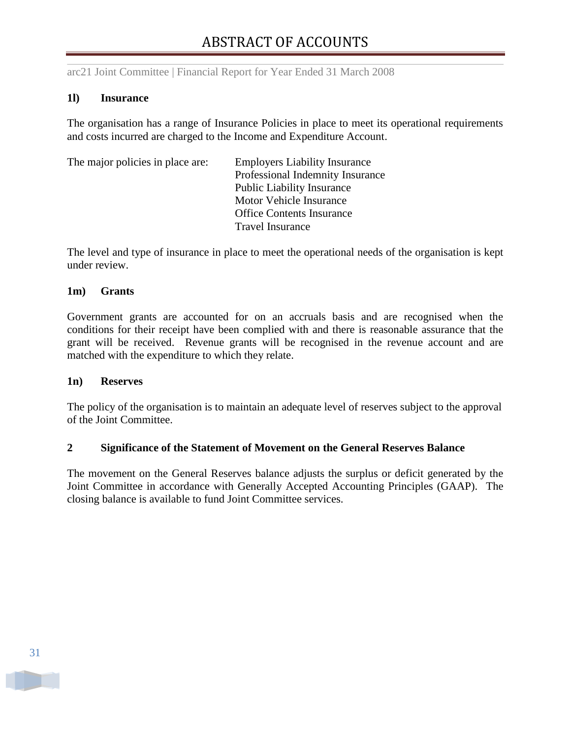#### **1l) Insurance**

The organisation has a range of Insurance Policies in place to meet its operational requirements and costs incurred are charged to the Income and Expenditure Account.

| The major policies in place are: | <b>Employers Liability Insurance</b> |
|----------------------------------|--------------------------------------|
|                                  | Professional Indemnity Insurance     |
|                                  | <b>Public Liability Insurance</b>    |
|                                  | Motor Vehicle Insurance              |
|                                  | <b>Office Contents Insurance</b>     |
|                                  | <b>Travel Insurance</b>              |
|                                  |                                      |

The level and type of insurance in place to meet the operational needs of the organisation is kept under review.

#### **1m) Grants**

Government grants are accounted for on an accruals basis and are recognised when the conditions for their receipt have been complied with and there is reasonable assurance that the grant will be received. Revenue grants will be recognised in the revenue account and are matched with the expenditure to which they relate.

#### **1n) Reserves**

The policy of the organisation is to maintain an adequate level of reserves subject to the approval of the Joint Committee.

#### **2 Significance of the Statement of Movement on the General Reserves Balance**

The movement on the General Reserves balance adjusts the surplus or deficit generated by the Joint Committee in accordance with Generally Accepted Accounting Principles (GAAP). The closing balance is available to fund Joint Committee services.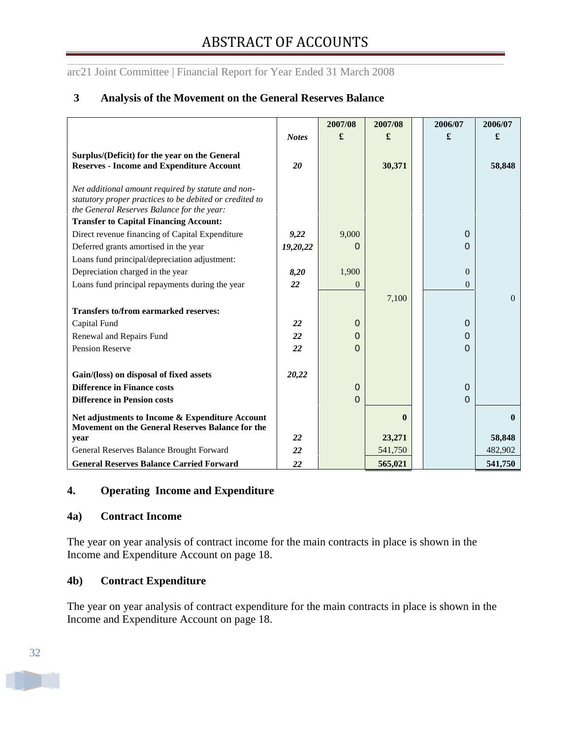## **3 Analysis of the Movement on the General Reserves Balance**

|                                                                                                                                                             |              | 2007/08     | 2007/08      | 2006/07  | 2006/07          |
|-------------------------------------------------------------------------------------------------------------------------------------------------------------|--------------|-------------|--------------|----------|------------------|
|                                                                                                                                                             | <b>Notes</b> | £           | £            | £        | £                |
| Surplus/(Deficit) for the year on the General<br><b>Reserves - Income and Expenditure Account</b>                                                           | 20           |             | 30,371       |          | 58,848           |
| Net additional amount required by statute and non-<br>statutory proper practices to be debited or credited to<br>the General Reserves Balance for the year: |              |             |              |          |                  |
| <b>Transfer to Capital Financing Account:</b>                                                                                                               |              |             |              |          |                  |
| Direct revenue financing of Capital Expenditure                                                                                                             | 9,22         | 9,000       |              | $\Omega$ |                  |
| Deferred grants amortised in the year                                                                                                                       | 19,20,22     | 0           |              | $\Omega$ |                  |
| Loans fund principal/depreciation adjustment:                                                                                                               |              |             |              |          |                  |
| Depreciation charged in the year                                                                                                                            | 8,20         | 1,900       |              | $\Omega$ |                  |
| Loans fund principal repayments during the year                                                                                                             | 22           | $\Omega$    |              | $\theta$ |                  |
|                                                                                                                                                             |              |             | 7,100        |          | $\boldsymbol{0}$ |
| <b>Transfers to/from earmarked reserves:</b>                                                                                                                |              |             |              |          |                  |
| Capital Fund                                                                                                                                                | 22           | $\mathbf 0$ |              | $\Omega$ |                  |
| Renewal and Repairs Fund                                                                                                                                    | 22           | 0           |              | $\Omega$ |                  |
| <b>Pension Reserve</b>                                                                                                                                      | 22           | $\Omega$    |              | $\Omega$ |                  |
|                                                                                                                                                             |              |             |              |          |                  |
| Gain/(loss) on disposal of fixed assets                                                                                                                     | 20,22        |             |              |          |                  |
| <b>Difference in Finance costs</b>                                                                                                                          |              | $\mathbf 0$ |              | $\Omega$ |                  |
| <b>Difference in Pension costs</b>                                                                                                                          |              | $\mathbf 0$ |              | $\Omega$ |                  |
| Net adjustments to Income & Expenditure Account<br>Movement on the General Reserves Balance for the                                                         |              |             | $\mathbf{0}$ |          | $\mathbf{0}$     |
| year                                                                                                                                                        | 22           |             | 23,271       |          | 58,848           |
| General Reserves Balance Brought Forward                                                                                                                    | 22           |             | 541,750      |          | 482,902          |
| <b>General Reserves Balance Carried Forward</b>                                                                                                             | 22           |             | 565,021      |          | 541,750          |

## **4. Operating Income and Expenditure**

#### **4a) Contract Income**

The year on year analysis of contract income for the main contracts in place is shown in the Income and Expenditure Account on page 18.

#### **4b) Contract Expenditure**

The year on year analysis of contract expenditure for the main contracts in place is shown in the Income and Expenditure Account on page 18.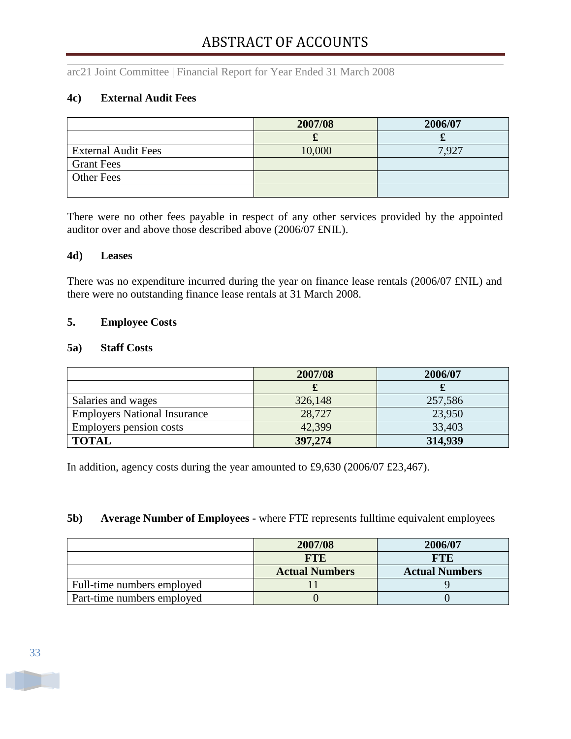arc21 Joint Committee | Financial Report for Year Ended 31 March 2008

## **4c) External Audit Fees**

|                            | 2007/08 | 2006/07 |
|----------------------------|---------|---------|
|                            | ഄ       | ഄ       |
| <b>External Audit Fees</b> | 10,000  | 7,927   |
| <b>Grant Fees</b>          |         |         |
| <b>Other Fees</b>          |         |         |
|                            |         |         |

There were no other fees payable in respect of any other services provided by the appointed auditor over and above those described above (2006/07 £NIL).

#### **4d) Leases**

There was no expenditure incurred during the year on finance lease rentals (2006/07 £NIL) and there were no outstanding finance lease rentals at 31 March 2008.

#### **5. Employee Costs**

#### **5a) Staff Costs**

|                                     | 2007/08 | 2006/07 |
|-------------------------------------|---------|---------|
|                                     |         |         |
| Salaries and wages                  | 326,148 | 257,586 |
| <b>Employers National Insurance</b> | 28,727  | 23,950  |
| Employers pension costs             | 42,399  | 33,403  |
| <b>TOTAL</b>                        | 397,274 | 314,939 |

In addition, agency costs during the year amounted to £9,630 (2006/07 £23,467).

#### **5b) Average Number of Employees -** where FTE represents fulltime equivalent employees

|                            | 2007/08               | 2006/07               |
|----------------------------|-----------------------|-----------------------|
|                            | <b>FTE</b>            | <b>FTE</b>            |
|                            | <b>Actual Numbers</b> | <b>Actual Numbers</b> |
| Full-time numbers employed |                       |                       |
| Part-time numbers employed |                       |                       |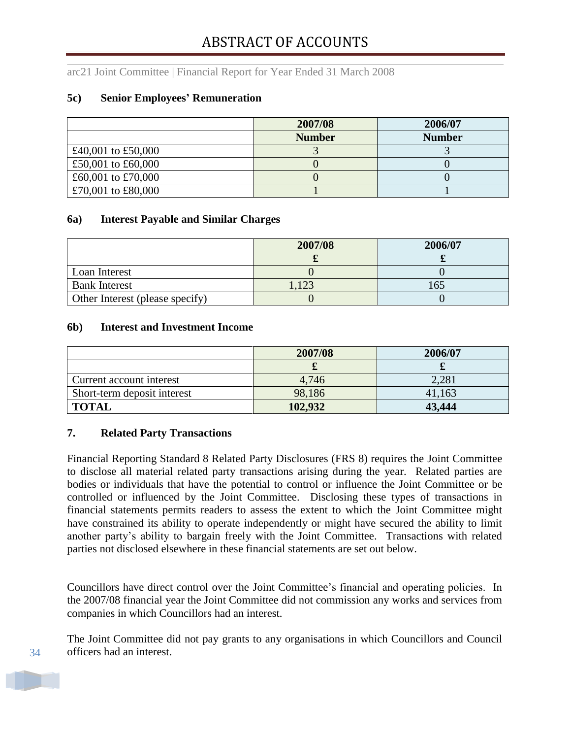#### **5c) Senior Employees' Remuneration**

|                    | 2007/08       | 2006/07       |
|--------------------|---------------|---------------|
|                    | <b>Number</b> | <b>Number</b> |
| £40,001 to £50,000 |               |               |
| £50,001 to £60,000 |               |               |
| £60,001 to £70,000 |               |               |
| £70,001 to £80,000 |               |               |

#### **6a) Interest Payable and Similar Charges**

|                                 | 2007/08 | 2006/07 |
|---------------------------------|---------|---------|
|                                 |         |         |
| Loan Interest                   |         |         |
| <b>Bank Interest</b>            | 123     |         |
| Other Interest (please specify) |         |         |

#### **6b) Interest and Investment Income**

|                             | 2007/08 | 2006/07 |
|-----------------------------|---------|---------|
|                             |         |         |
| Current account interest    | 4,746   | 2,281   |
| Short-term deposit interest | 98,186  | 41,163  |
| <b>TOTAL</b>                | 102,932 | 43,444  |

#### **7. Related Party Transactions**

Financial Reporting Standard 8 Related Party Disclosures (FRS 8) requires the Joint Committee to disclose all material related party transactions arising during the year. Related parties are bodies or individuals that have the potential to control or influence the Joint Committee or be controlled or influenced by the Joint Committee. Disclosing these types of transactions in financial statements permits readers to assess the extent to which the Joint Committee might have constrained its ability to operate independently or might have secured the ability to limit another party"s ability to bargain freely with the Joint Committee. Transactions with related parties not disclosed elsewhere in these financial statements are set out below.

Councillors have direct control over the Joint Committee"s financial and operating policies. In the 2007/08 financial year the Joint Committee did not commission any works and services from companies in which Councillors had an interest.

The Joint Committee did not pay grants to any organisations in which Councillors and Council officers had an interest.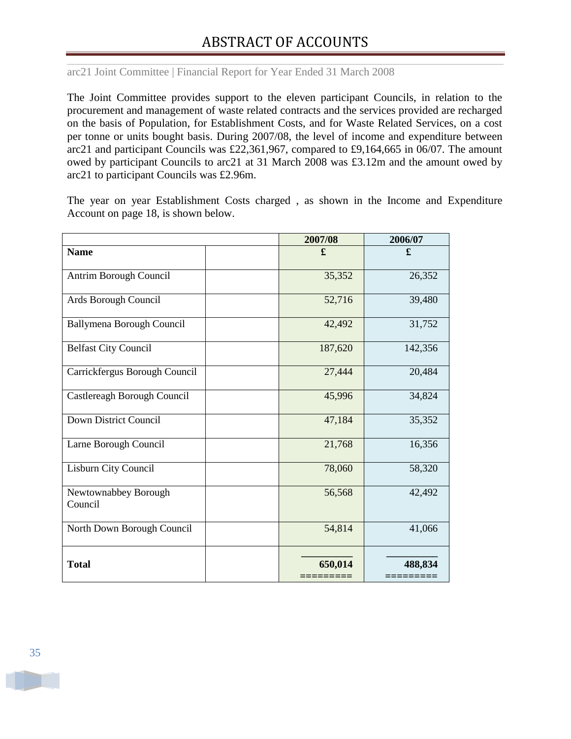The Joint Committee provides support to the eleven participant Councils, in relation to the procurement and management of waste related contracts and the services provided are recharged on the basis of Population, for Establishment Costs, and for Waste Related Services, on a cost per tonne or units bought basis. During 2007/08, the level of income and expenditure between arc21 and participant Councils was £22,361,967, compared to £9,164,665 in 06/07. The amount owed by participant Councils to arc21 at 31 March 2008 was £3.12m and the amount owed by arc21 to participant Councils was £2.96m.

The year on year Establishment Costs charged , as shown in the Income and Expenditure Account on page 18, is shown below.

|                                 | 2007/08 | 2006/07 |
|---------------------------------|---------|---------|
| <b>Name</b>                     | £       | £       |
| Antrim Borough Council          | 35,352  | 26,352  |
| Ards Borough Council            | 52,716  | 39,480  |
| Ballymena Borough Council       | 42,492  | 31,752  |
| <b>Belfast City Council</b>     | 187,620 | 142,356 |
| Carrickfergus Borough Council   | 27,444  | 20,484  |
| Castlereagh Borough Council     | 45,996  | 34,824  |
| Down District Council           | 47,184  | 35,352  |
| Larne Borough Council           | 21,768  | 16,356  |
| Lisburn City Council            | 78,060  | 58,320  |
| Newtownabbey Borough<br>Council | 56,568  | 42,492  |
| North Down Borough Council      | 54,814  | 41,066  |
| <b>Total</b>                    | 650,014 | 488,834 |

35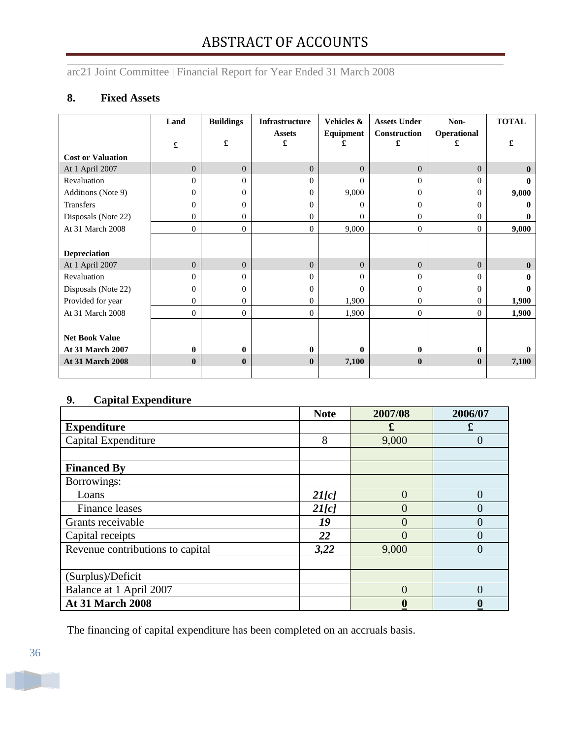arc21 Joint Committee | Financial Report for Year Ended 31 March 2008

## **8. Fixed Assets**

|                          | Land           | <b>Buildings</b> | <b>Infrastructure</b><br><b>Assets</b> | Vehicles &<br>Equipment | <b>Assets Under</b><br>Construction | Non-<br>Operational | <b>TOTAL</b> |
|--------------------------|----------------|------------------|----------------------------------------|-------------------------|-------------------------------------|---------------------|--------------|
|                          | £              | £                | £                                      | £                       | £                                   | £                   | £            |
| <b>Cost or Valuation</b> |                |                  |                                        |                         |                                     |                     |              |
| At 1 April 2007          | $\overline{0}$ | $\overline{0}$   | $\Omega$                               | $\Omega$                | $\overline{0}$                      | $\overline{0}$      | $\mathbf{0}$ |
| Revaluation              | 0              | 0                | $\Omega$                               | $\Omega$                | $\Omega$                            | 0                   |              |
| Additions (Note 9)       | $\overline{0}$ | $\Omega$         | $\theta$                               | 9,000                   | $\Omega$                            | $\bf{0}$            | 9,000        |
| <b>Transfers</b>         | $\Omega$       | 0                | $\Omega$                               | $\Omega$                | $\Omega$                            | $\Omega$            | 0            |
| Disposals (Note 22)      | 0              | 0                | $\Omega$                               | $\Omega$                | $\mathbf{0}$                        | 0                   | 0            |
| At 31 March 2008         | $\theta$       | $\mathbf{0}$     | $\Omega$                               | 9,000                   | $\overline{0}$                      | $\overline{0}$      | 9,000        |
|                          |                |                  |                                        |                         |                                     |                     |              |
| <b>Depreciation</b>      |                |                  |                                        |                         |                                     |                     |              |
| At 1 April 2007          | $\Omega$       | $\Omega$         | $\Omega$                               | $\Omega$                | $\Omega$                            | $\Omega$            | $\mathbf{0}$ |
| Revaluation              | 0              | 0                | $\Omega$                               | $\Omega$                | $\Omega$                            | 0                   | 0            |
| Disposals (Note 22)      | $\Omega$       | 0                | $\Omega$                               | $\Omega$                | $\Omega$                            | $\Omega$            | 0            |
| Provided for year        | $\Omega$       | 0                | $\Omega$                               | 1,900                   | $\overline{0}$                      | 0                   | 1,900        |
| At 31 March 2008         | $\mathbf{0}$   | $\mathbf{0}$     | $\overline{0}$                         | 1,900                   | $\overline{0}$                      | $\overline{0}$      | 1,900        |
|                          |                |                  |                                        |                         |                                     |                     |              |
| <b>Net Book Value</b>    |                |                  |                                        |                         |                                     |                     |              |
| <b>At 31 March 2007</b>  | 0              | 0                | $\mathbf{0}$                           | 0                       | $\mathbf{0}$                        | 0                   |              |
| At 31 March 2008         | $\mathbf{0}$   | $\mathbf{0}$     | $\mathbf{0}$                           | 7,100                   | $\mathbf{0}$                        | $\bf{0}$            | 7,100        |
|                          |                |                  |                                        |                         |                                     |                     |              |

## **9. Capital Expenditure**

|                                  | <b>Note</b> | 2007/08 | 2006/07           |
|----------------------------------|-------------|---------|-------------------|
| <b>Expenditure</b>               |             | £       | £                 |
| Capital Expenditure              | 8           | 9,000   | $\mathbf{0}$      |
|                                  |             |         |                   |
| <b>Financed By</b>               |             |         |                   |
| Borrowings:                      |             |         |                   |
| Loans                            | 2I[c]       | 0       | 0                 |
| <b>Finance leases</b>            | 2I[c]       |         | $\mathbf{\Omega}$ |
| Grants receivable                | 19          |         | 0                 |
| Capital receipts                 | 22          |         | 0                 |
| Revenue contributions to capital | 3,22        | 9,000   | $\Omega$          |
|                                  |             |         |                   |
| (Surplus)/Deficit                |             |         |                   |
| Balance at 1 April 2007          |             |         | $\Omega$          |
| <b>At 31 March 2008</b>          |             |         |                   |

The financing of capital expenditure has been completed on an accruals basis.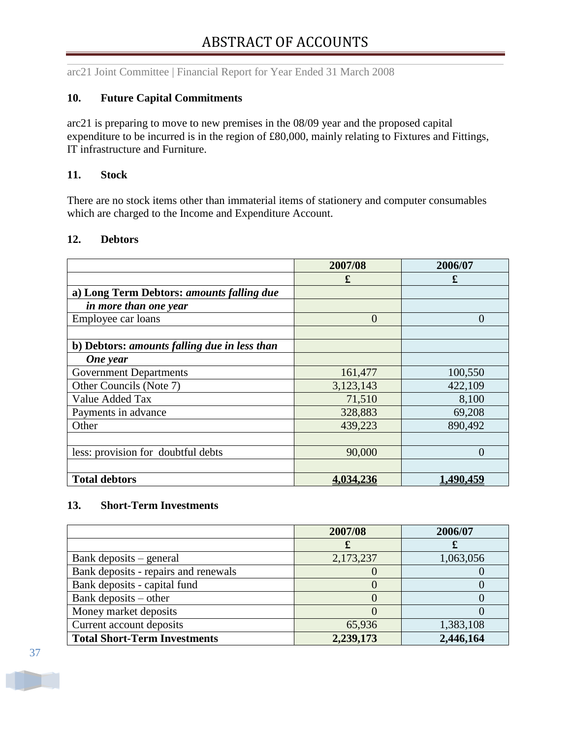#### **10. Future Capital Commitments**

arc21 is preparing to move to new premises in the 08/09 year and the proposed capital expenditure to be incurred is in the region of £80,000, mainly relating to Fixtures and Fittings, IT infrastructure and Furniture.

#### **11. Stock**

There are no stock items other than immaterial items of stationery and computer consumables which are charged to the Income and Expenditure Account.

#### **12. Debtors**

|                                              | 2007/08        | 2006/07          |
|----------------------------------------------|----------------|------------------|
|                                              | £              | £                |
| a) Long Term Debtors: amounts falling due    |                |                  |
| in more than one year                        |                |                  |
| Employee car loans                           | $\overline{0}$ | $\left( \right)$ |
|                                              |                |                  |
| b) Debtors: amounts falling due in less than |                |                  |
| One year                                     |                |                  |
| <b>Government Departments</b>                | 161,477        | 100,550          |
| Other Councils (Note 7)                      | 3,123,143      | 422,109          |
| Value Added Tax                              | 71,510         | 8,100            |
| Payments in advance                          | 328,883        | 69,208           |
| Other                                        | 439,223        | 890,492          |
|                                              |                |                  |
| less: provision for doubtful debts           | 90,000         | $\left( \right)$ |
|                                              |                |                  |
| <b>Total debtors</b>                         | 4,034,236      | 1,490,459        |

#### **13. Short-Term Investments**

|                                      | 2007/08   | 2006/07   |
|--------------------------------------|-----------|-----------|
|                                      |           |           |
| Bank deposits – general              | 2,173,237 | 1,063,056 |
| Bank deposits - repairs and renewals |           |           |
| Bank deposits - capital fund         |           |           |
| Bank deposits $-$ other              |           |           |
| Money market deposits                |           |           |
| Current account deposits             | 65,936    | 1,383,108 |
| <b>Total Short-Term Investments</b>  | 2,239,173 | 2,446,164 |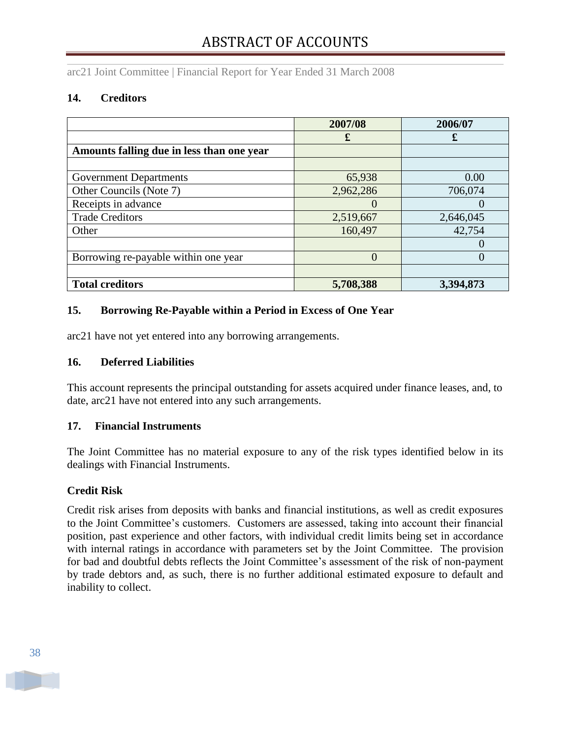## **14. Creditors**

|                                           | 2007/08   | 2006/07   |
|-------------------------------------------|-----------|-----------|
|                                           | £         | £         |
| Amounts falling due in less than one year |           |           |
|                                           |           |           |
| <b>Government Departments</b>             | 65,938    | 0.00      |
| Other Councils (Note 7)                   | 2,962,286 | 706,074   |
| Receipts in advance                       |           |           |
| <b>Trade Creditors</b>                    | 2,519,667 | 2,646,045 |
| Other                                     | 160,497   | 42,754    |
|                                           |           |           |
| Borrowing re-payable within one year      | $\Omega$  |           |
|                                           |           |           |
| <b>Total creditors</b>                    | 5,708,388 | 3,394,873 |

## **15. Borrowing Re-Payable within a Period in Excess of One Year**

arc21 have not yet entered into any borrowing arrangements.

## **16. Deferred Liabilities**

This account represents the principal outstanding for assets acquired under finance leases, and, to date, arc21 have not entered into any such arrangements.

## **17. Financial Instruments**

The Joint Committee has no material exposure to any of the risk types identified below in its dealings with Financial Instruments.

## **Credit Risk**

Credit risk arises from deposits with banks and financial institutions, as well as credit exposures to the Joint Committee's customers. Customers are assessed, taking into account their financial position, past experience and other factors, with individual credit limits being set in accordance with internal ratings in accordance with parameters set by the Joint Committee. The provision for bad and doubtful debts reflects the Joint Committee"s assessment of the risk of non-payment by trade debtors and, as such, there is no further additional estimated exposure to default and inability to collect.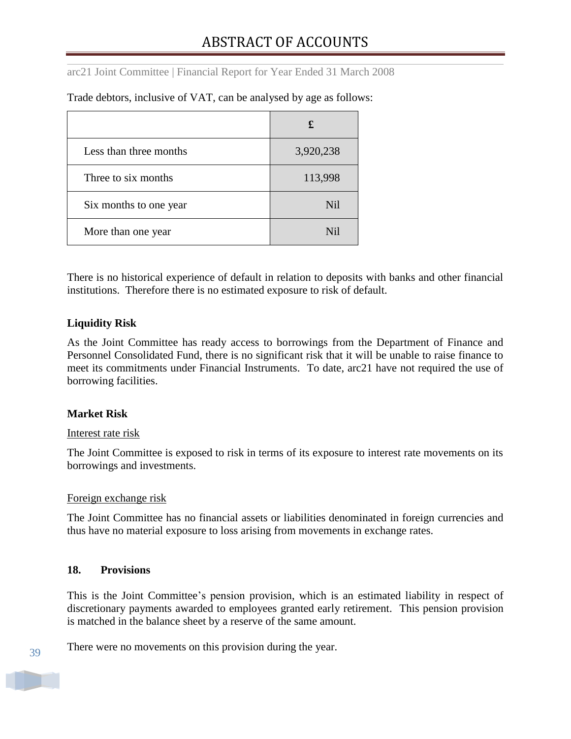|                        | £                |
|------------------------|------------------|
| Less than three months | 3,920,238        |
| Three to six months    | 113,998          |
| Six months to one year | N <sub>i</sub>   |
| More than one year     | N <sub>i</sub> l |

Trade debtors, inclusive of VAT, can be analysed by age as follows:

There is no historical experience of default in relation to deposits with banks and other financial institutions. Therefore there is no estimated exposure to risk of default.

## **Liquidity Risk**

As the Joint Committee has ready access to borrowings from the Department of Finance and Personnel Consolidated Fund, there is no significant risk that it will be unable to raise finance to meet its commitments under Financial Instruments. To date, arc21 have not required the use of borrowing facilities.

## **Market Risk**

#### Interest rate risk

The Joint Committee is exposed to risk in terms of its exposure to interest rate movements on its borrowings and investments.

#### Foreign exchange risk

The Joint Committee has no financial assets or liabilities denominated in foreign currencies and thus have no material exposure to loss arising from movements in exchange rates.

#### **18. Provisions**

This is the Joint Committee"s pension provision, which is an estimated liability in respect of discretionary payments awarded to employees granted early retirement. This pension provision is matched in the balance sheet by a reserve of the same amount.

There were no movements on this provision during the year.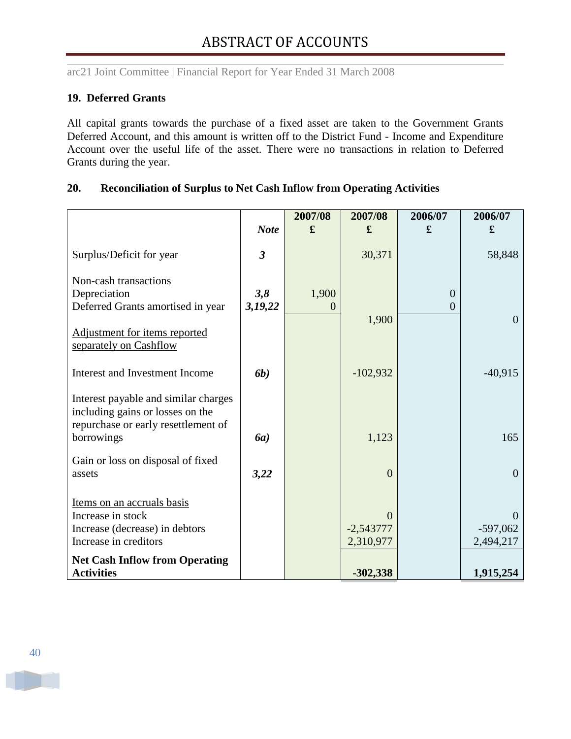## **19. Deferred Grants**

All capital grants towards the purchase of a fixed asset are taken to the Government Grants Deferred Account, and this amount is written off to the District Fund - Income and Expenditure Account over the useful life of the asset. There were no transactions in relation to Deferred Grants during the year.

|                                                                                                                               |                         | 2007/08                 | 2007/08                              | 2006/07                    | 2006/07                             |
|-------------------------------------------------------------------------------------------------------------------------------|-------------------------|-------------------------|--------------------------------------|----------------------------|-------------------------------------|
|                                                                                                                               | <b>Note</b>             | £                       | £                                    | £                          | £                                   |
| Surplus/Deficit for year                                                                                                      | $\overline{\mathbf{3}}$ |                         | 30,371                               |                            | 58,848                              |
| Non-cash transactions<br>Depreciation<br>Deferred Grants amortised in year                                                    | 3,8<br>3,19,22          | 1,900<br>$\overline{0}$ | 1,900                                | $\overline{0}$<br>$\theta$ | $\overline{0}$                      |
| Adjustment for items reported<br>separately on Cashflow                                                                       |                         |                         |                                      |                            |                                     |
| Interest and Investment Income                                                                                                | <b>6b</b> )             |                         | $-102,932$                           |                            | $-40,915$                           |
| Interest payable and similar charges<br>including gains or losses on the<br>repurchase or early resettlement of<br>borrowings | <b>6a</b> )             |                         | 1,123                                |                            | 165                                 |
| Gain or loss on disposal of fixed<br>assets                                                                                   | 3,22                    |                         | $\overline{0}$                       |                            | $\overline{0}$                      |
| Items on an accruals basis<br>Increase in stock<br>Increase (decrease) in debtors<br>Increase in creditors                    |                         |                         | $\theta$<br>$-2,543777$<br>2,310,977 |                            | $\Omega$<br>$-597,062$<br>2,494,217 |
| <b>Net Cash Inflow from Operating</b><br><b>Activities</b>                                                                    |                         |                         | $-302,338$                           |                            | 1,915,254                           |

#### **20. Reconciliation of Surplus to Net Cash Inflow from Operating Activities**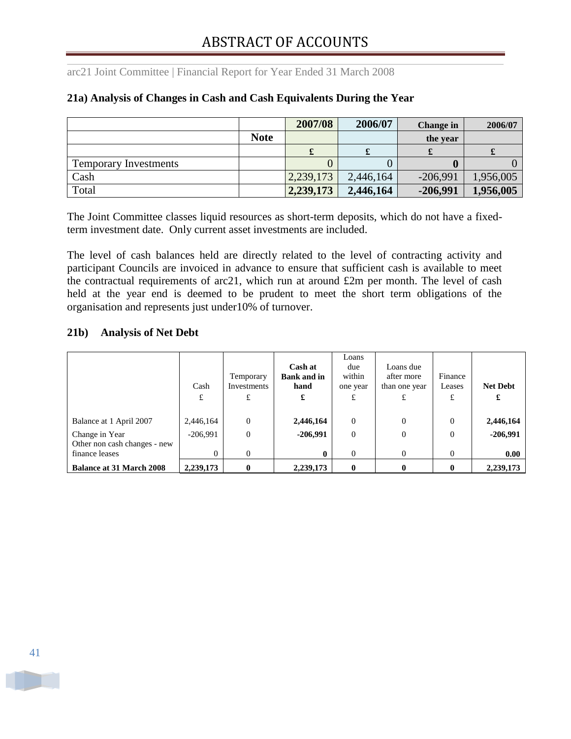## **21a) Analysis of Changes in Cash and Cash Equivalents During the Year**

|                              |             | 2007/08   | 2006/07   | Change in  | 2006/07   |
|------------------------------|-------------|-----------|-----------|------------|-----------|
|                              | <b>Note</b> |           |           | the year   |           |
|                              |             |           | ىق        |            |           |
| <b>Temporary Investments</b> |             |           |           |            |           |
| Cash                         |             | 2,239,173 | 2,446,164 | $-206,991$ | 1,956,005 |
| Total                        |             | 2,239,173 | 2,446,164 | $-206,991$ | 1,956,005 |

The Joint Committee classes liquid resources as short-term deposits, which do not have a fixedterm investment date. Only current asset investments are included.

The level of cash balances held are directly related to the level of contracting activity and participant Councils are invoiced in advance to ensure that sufficient cash is available to meet the contractual requirements of arc21, which run at around £2m per month. The level of cash held at the year end is deemed to be prudent to meet the short term obligations of the organisation and represents just under10% of turnover.

## **21b) Analysis of Net Debt**

|                                                                  | Cash<br>£              | Temporary<br>Investments<br>£ | Cash at<br><b>Bank and in</b><br>hand<br>£ | Loans<br>due<br>within<br>one year<br>£ | Loans due<br>after more<br>than one year | Finance<br>Leases<br>£ | <b>Net Debt</b><br>£ |
|------------------------------------------------------------------|------------------------|-------------------------------|--------------------------------------------|-----------------------------------------|------------------------------------------|------------------------|----------------------|
| Balance at 1 April 2007                                          | 2,446,164              | $\Omega$                      | 2,446,164                                  | $\theta$                                | $\Omega$                                 | $\Omega$               | 2,446,164            |
| Change in Year<br>Other non cash changes - new<br>finance leases | $-206.991$<br>$\Omega$ | $\overline{0}$<br>$\Omega$    | $-206,991$<br>0                            | $\theta$<br>$\Omega$                    | $\overline{0}$<br>$\Omega$               | $\theta$<br>$\Omega$   | $-206,991$<br>0.00   |
| <b>Balance at 31 March 2008</b>                                  | 2,239,173              | $\mathbf 0$                   | 2,239,173                                  | $\mathbf{0}$                            | 0                                        | 0                      | 2,239,173            |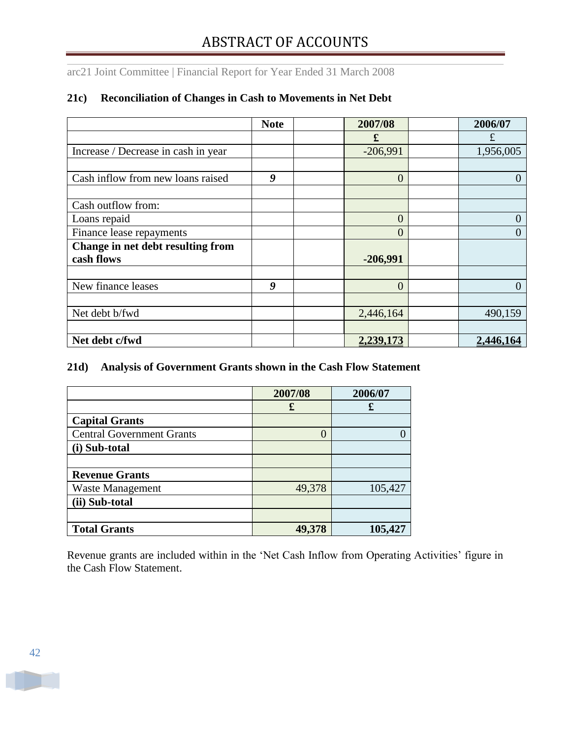## **21c) Reconciliation of Changes in Cash to Movements in Net Debt**

|                                     | <b>Note</b> | 2007/08        | 2006/07          |
|-------------------------------------|-------------|----------------|------------------|
|                                     |             | £              | £                |
| Increase / Decrease in cash in year |             | $-206,991$     | 1,956,005        |
|                                     |             |                |                  |
| Cash inflow from new loans raised   | 9           | $\overline{0}$ |                  |
|                                     |             |                |                  |
| Cash outflow from:                  |             |                |                  |
| Loans repaid                        |             | $\overline{0}$ |                  |
| Finance lease repayments            |             | $\overline{0}$ |                  |
| Change in net debt resulting from   |             |                |                  |
| cash flows                          |             | $-206,991$     |                  |
|                                     |             |                |                  |
| New finance leases                  | 9           | $\overline{0}$ |                  |
|                                     |             |                |                  |
| Net debt b/fwd                      |             | 2,446,164      | 490,159          |
|                                     |             |                |                  |
| Net debt c/fwd                      |             | 2,239,173      | <u>2,446,164</u> |

## **21d) Analysis of Government Grants shown in the Cash Flow Statement**

|                                  | 2007/08 | 2006/07 |
|----------------------------------|---------|---------|
|                                  | £       | £       |
| <b>Capital Grants</b>            |         |         |
| <b>Central Government Grants</b> |         |         |
| (i) Sub-total                    |         |         |
|                                  |         |         |
| <b>Revenue Grants</b>            |         |         |
| Waste Management                 | 49,378  | 105,427 |
| (ii) Sub-total                   |         |         |
|                                  |         |         |
| <b>Total Grants</b>              | 49,378  | 105,427 |

Revenue grants are included within in the 'Net Cash Inflow from Operating Activities' figure in the Cash Flow Statement.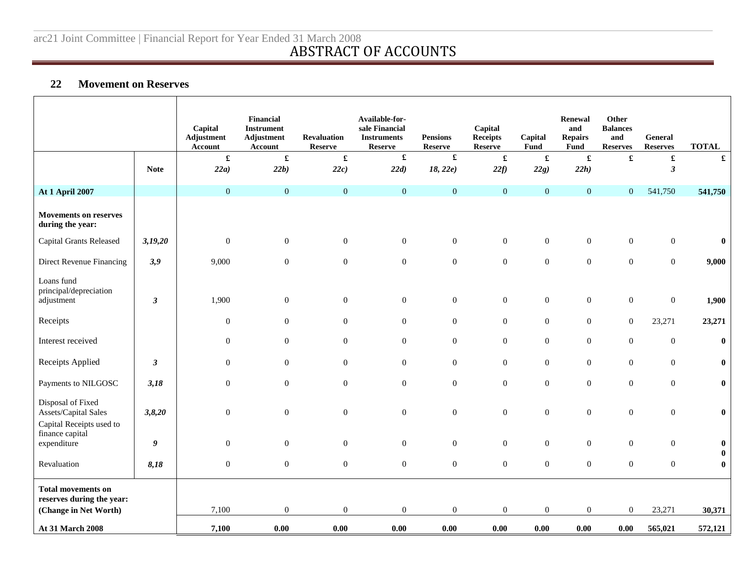## **22 Movement on Reserves**

|                                                                       |                      | Capital<br>Adjustment<br><b>Account</b> | <b>Financial</b><br><b>Instrument</b><br><b>Adjustment</b><br>Account | <b>Revaluation</b><br><b>Reserve</b> | Available-for-<br>sale Financial<br><b>Instruments</b><br><b>Reserve</b> | <b>Pensions</b><br><b>Reserve</b> | Capital<br><b>Receipts</b><br><b>Reserve</b> | Capital<br>Fund  | Renewal<br>and<br><b>Repairs</b><br><b>Fund</b> | Other<br><b>Balances</b><br>and<br><b>Reserves</b> | General<br><b>Reserves</b> | <b>TOTAL</b>         |
|-----------------------------------------------------------------------|----------------------|-----------------------------------------|-----------------------------------------------------------------------|--------------------------------------|--------------------------------------------------------------------------|-----------------------------------|----------------------------------------------|------------------|-------------------------------------------------|----------------------------------------------------|----------------------------|----------------------|
|                                                                       |                      | $\pmb{\mathfrak{L}}$                    | $\pmb{\mathfrak{L}}$                                                  | $\pmb{\mathfrak{L}}$                 | $\pmb{\mathfrak{L}}$                                                     |                                   | $\pmb{\mathfrak{L}}$                         |                  | $\pmb{\mathfrak{L}}$                            | $\pmb{\mathfrak{L}}$                               | $\pmb{\mathfrak{L}}$       | £                    |
|                                                                       | <b>Note</b>          | 22a)                                    | 22b)                                                                  | 22c)                                 | 22d)                                                                     | 18, 22e)                          | 22f                                          | 22g)             | 22h)                                            |                                                    | $\boldsymbol{\beta}$       |                      |
| <b>At 1 April 2007</b>                                                |                      | $\overline{0}$                          | $\mathbf{0}$                                                          | $\boldsymbol{0}$                     | $\overline{0}$                                                           | $\mathbf{0}$                      | $\mathbf{0}$                                 | $\overline{0}$   | $\mathbf{0}$                                    | $\mathbf{0}$                                       | 541,750                    | 541,750              |
| <b>Movements on reserves</b><br>during the year:                      |                      |                                         |                                                                       |                                      |                                                                          |                                   |                                              |                  |                                                 |                                                    |                            |                      |
| <b>Capital Grants Released</b>                                        | 3,19,20              | $\boldsymbol{0}$                        | $\boldsymbol{0}$                                                      | $\overline{0}$                       | $\overline{0}$                                                           | $\boldsymbol{0}$                  | $\boldsymbol{0}$                             | $\boldsymbol{0}$ | $\boldsymbol{0}$                                | $\boldsymbol{0}$                                   | $\boldsymbol{0}$           | $\bf{0}$             |
| Direct Revenue Financing                                              | 3,9                  | 9,000                                   | $\mathbf{0}$                                                          | $\boldsymbol{0}$                     | $\overline{0}$                                                           | $\boldsymbol{0}$                  | $\boldsymbol{0}$                             | $\overline{0}$   | $\boldsymbol{0}$                                | $\overline{0}$                                     | $\overline{0}$             | 9,000                |
| Loans fund<br>principal/depreciation<br>adjustment                    | $\mathfrak{z}$       | 1,900                                   | $\boldsymbol{0}$                                                      | $\boldsymbol{0}$                     | $\overline{0}$                                                           | $\boldsymbol{0}$                  | $\boldsymbol{0}$                             | $\boldsymbol{0}$ | $\boldsymbol{0}$                                | $\boldsymbol{0}$                                   | $\boldsymbol{0}$           | 1,900                |
| Receipts                                                              |                      | $\boldsymbol{0}$                        | $\overline{0}$                                                        | $\overline{0}$                       | $\overline{0}$                                                           | $\mathbf{0}$                      | $\boldsymbol{0}$                             | $\boldsymbol{0}$ | $\boldsymbol{0}$                                | $\boldsymbol{0}$                                   | 23,271                     | 23,271               |
| Interest received                                                     |                      | $\boldsymbol{0}$                        | $\boldsymbol{0}$                                                      | $\boldsymbol{0}$                     | $\overline{0}$                                                           | $\boldsymbol{0}$                  | $\boldsymbol{0}$                             | $\boldsymbol{0}$ | $\boldsymbol{0}$                                | $\boldsymbol{0}$                                   | $\boldsymbol{0}$           | $\pmb{0}$            |
| Receipts Applied                                                      | $\boldsymbol{\beta}$ | $\overline{0}$                          | $\overline{0}$                                                        | $\overline{0}$                       | $\overline{0}$                                                           | $\mathbf{0}$                      | $\boldsymbol{0}$                             | $\mathbf{0}$     | $\mathbf{0}$                                    | $\mathbf{0}$                                       | $\mathbf{0}$               | $\bf{0}$             |
| Payments to NILGOSC                                                   | 3,18                 | $\boldsymbol{0}$                        | $\boldsymbol{0}$                                                      | $\boldsymbol{0}$                     | $\boldsymbol{0}$                                                         | $\mathbf{0}$                      | $\boldsymbol{0}$                             | $\boldsymbol{0}$ | $\boldsymbol{0}$                                | $\boldsymbol{0}$                                   | $\boldsymbol{0}$           | $\bf{0}$             |
| Disposal of Fixed<br>Assets/Capital Sales<br>Capital Receipts used to | 3,8,20               | $\boldsymbol{0}$                        | $\boldsymbol{0}$                                                      | $\boldsymbol{0}$                     | $\overline{0}$                                                           | $\boldsymbol{0}$                  | $\boldsymbol{0}$                             | $\boldsymbol{0}$ | $\boldsymbol{0}$                                | $\boldsymbol{0}$                                   | $\boldsymbol{0}$           | $\boldsymbol{0}$     |
| finance capital<br>expenditure                                        | 9                    | $\overline{0}$                          | $\boldsymbol{0}$                                                      | $\overline{0}$                       | $\overline{0}$                                                           | $\mathbf{0}$                      | $\boldsymbol{0}$                             | $\boldsymbol{0}$ | $\boldsymbol{0}$                                | $\boldsymbol{0}$                                   | $\mathbf{0}$               | $\bf{0}$             |
| Revaluation                                                           | 8,18                 | $\boldsymbol{0}$                        | $\boldsymbol{0}$                                                      | $\boldsymbol{0}$                     | $\boldsymbol{0}$                                                         | $\boldsymbol{0}$                  | $\boldsymbol{0}$                             | $\boldsymbol{0}$ | $\boldsymbol{0}$                                | $\boldsymbol{0}$                                   | $\boldsymbol{0}$           | $\bf{0}$<br>$\bf{0}$ |
| <b>Total movements on</b><br>reserves during the year:                |                      |                                         |                                                                       |                                      |                                                                          |                                   |                                              |                  |                                                 |                                                    |                            |                      |
| (Change in Net Worth)                                                 |                      | 7,100                                   | $\boldsymbol{0}$                                                      | $\boldsymbol{0}$                     | $\boldsymbol{0}$                                                         | $\boldsymbol{0}$                  | $\boldsymbol{0}$                             | $\boldsymbol{0}$ | $\boldsymbol{0}$                                | $\boldsymbol{0}$                                   | 23,271                     | 30,371               |
| At 31 March 2008                                                      |                      | 7,100                                   | 0.00                                                                  | 0.00                                 | 0.00                                                                     | 0.00                              | 0.00                                         | 0.00             | 0.00                                            | 0.00                                               | 565,021                    | 572,121              |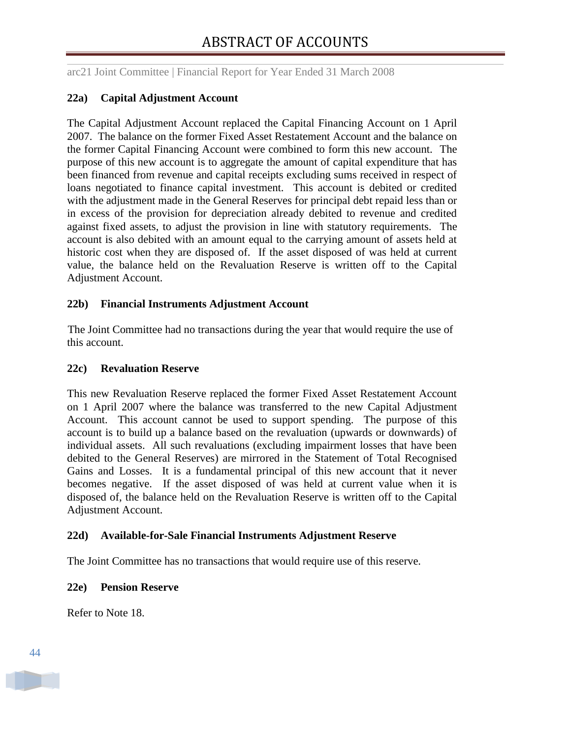### **22a) Capital Adjustment Account**

The Capital Adjustment Account replaced the Capital Financing Account on 1 April 2007. The balance on the former Fixed Asset Restatement Account and the balance on the former Capital Financing Account were combined to form this new account. The purpose of this new account is to aggregate the amount of capital expenditure that has been financed from revenue and capital receipts excluding sums received in respect of loans negotiated to finance capital investment. This account is debited or credited with the adjustment made in the General Reserves for principal debt repaid less than or in excess of the provision for depreciation already debited to revenue and credited against fixed assets, to adjust the provision in line with statutory requirements. The account is also debited with an amount equal to the carrying amount of assets held at historic cost when they are disposed of. If the asset disposed of was held at current value, the balance held on the Revaluation Reserve is written off to the Capital Adjustment Account.

#### **22b) Financial Instruments Adjustment Account**

The Joint Committee had no transactions during the year that would require the use of this account.

#### **22c) Revaluation Reserve**

This new Revaluation Reserve replaced the former Fixed Asset Restatement Account on 1 April 2007 where the balance was transferred to the new Capital Adjustment Account. This account cannot be used to support spending. The purpose of this account is to build up a balance based on the revaluation (upwards or downwards) of individual assets. All such revaluations (excluding impairment losses that have been debited to the General Reserves) are mirrored in the Statement of Total Recognised Gains and Losses. It is a fundamental principal of this new account that it never becomes negative. If the asset disposed of was held at current value when it is disposed of, the balance held on the Revaluation Reserve is written off to the Capital Adjustment Account.

## **22d) Available-for-Sale Financial Instruments Adjustment Reserve**

The Joint Committee has no transactions that would require use of this reserve.

#### **22e) Pension Reserve**

Refer to Note 18.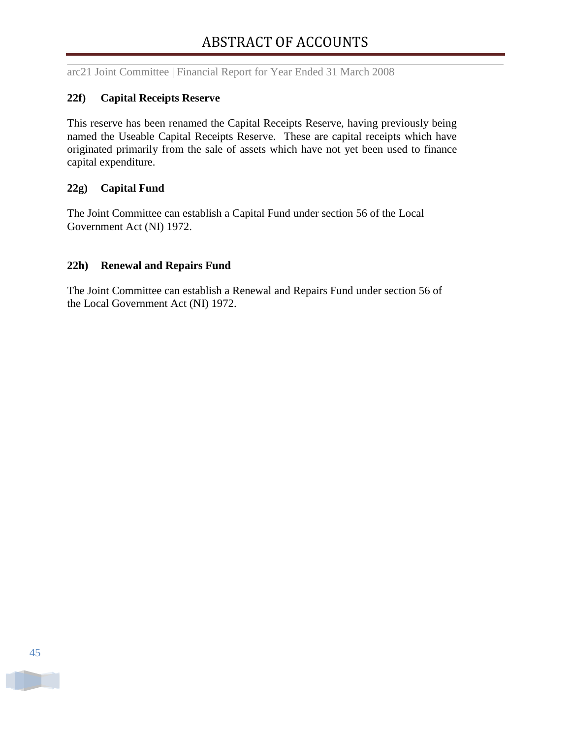#### **22f) Capital Receipts Reserve**

This reserve has been renamed the Capital Receipts Reserve, having previously being named the Useable Capital Receipts Reserve. These are capital receipts which have originated primarily from the sale of assets which have not yet been used to finance capital expenditure.

#### **22g) Capital Fund**

The Joint Committee can establish a Capital Fund under section 56 of the Local Government Act (NI) 1972.

#### **22h) Renewal and Repairs Fund**

The Joint Committee can establish a Renewal and Repairs Fund under section 56 of the Local Government Act (NI) 1972.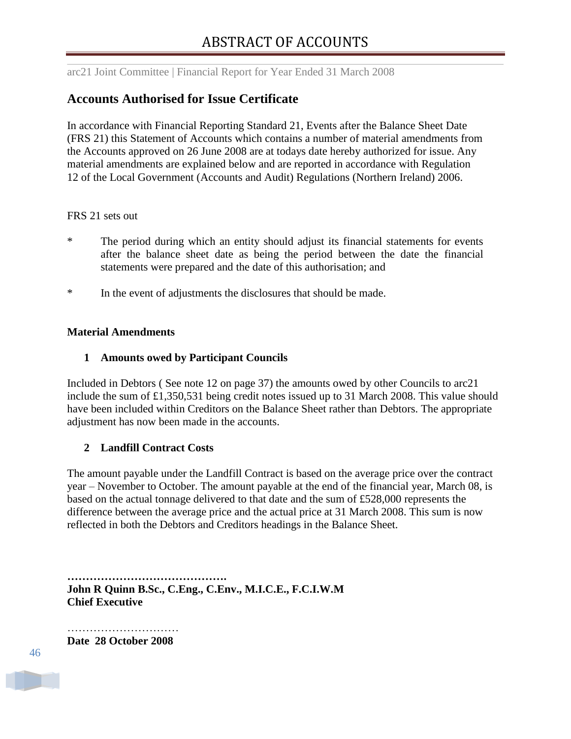## <span id="page-47-0"></span>**Accounts Authorised for Issue Certificate**

In accordance with Financial Reporting Standard 21, Events after the Balance Sheet Date (FRS 21) this Statement of Accounts which contains a number of material amendments from the Accounts approved on 26 June 2008 are at todays date hereby authorized for issue. Any material amendments are explained below and are reported in accordance with Regulation 12 of the Local Government (Accounts and Audit) Regulations (Northern Ireland) 2006.

#### FRS 21 sets out

- \* The period during which an entity should adjust its financial statements for events after the balance sheet date as being the period between the date the financial statements were prepared and the date of this authorisation; and
- \* In the event of adjustments the disclosures that should be made.

#### **Material Amendments**

#### **1 Amounts owed by Participant Councils**

Included in Debtors ( See note 12 on page 37) the amounts owed by other Councils to arc21 include the sum of £1,350,531 being credit notes issued up to 31 March 2008. This value should have been included within Creditors on the Balance Sheet rather than Debtors. The appropriate adjustment has now been made in the accounts.

#### **2 Landfill Contract Costs**

The amount payable under the Landfill Contract is based on the average price over the contract year – November to October. The amount payable at the end of the financial year, March 08, is based on the actual tonnage delivered to that date and the sum of £528,000 represents the difference between the average price and the actual price at 31 March 2008. This sum is now reflected in both the Debtors and Creditors headings in the Balance Sheet.

**……………………………………. John R Quinn B.Sc., C.Eng., C.Env., M.I.C.E., F.C.I.W.M Chief Executive**

………………………… **Date 28 October 2008**